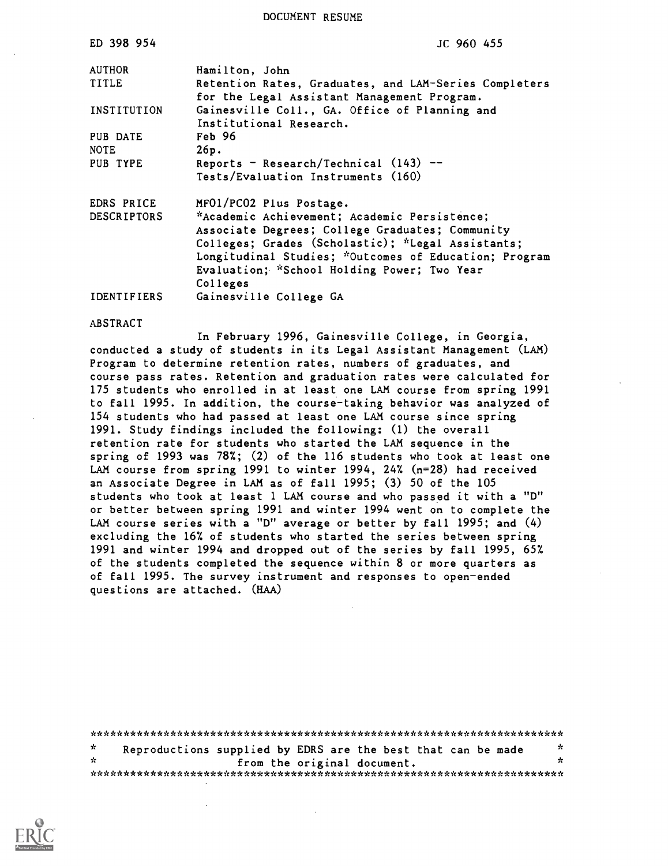DOCUMENT RESUME

| ED 398 954              | JC 960 455                                                                                           |
|-------------------------|------------------------------------------------------------------------------------------------------|
| <b>AUTHOR</b>           | Hamilton, John                                                                                       |
| <b>TITLE</b>            | Retention Rates, Graduates, and LAM-Series Completers<br>for the Legal Assistant Management Program. |
| INSTITUTION             | Gainesville Coll., GA. Office of Planning and<br>Institutional Research.                             |
| PUB DATE<br><b>NOTE</b> | Feb 96<br>26p.                                                                                       |
| PUB TYPE                | Reports - Research/Technical $(143)$ --<br>Tests/Evaluation Instruments (160)                        |
| EDRS PRICE              | MF01/PC02 Plus Postage.                                                                              |
| <b>DESCRIPTORS</b>      | *Academic Achievement; Academic Persistence;                                                         |
|                         | Associate Degrees; College Graduates; Community<br>Colleges; Grades (Scholastic); *Legal Assistants; |
|                         | Longitudinal Studies; *Outcomes of Education; Program                                                |
|                         | Evaluation; *School Holding Power; Two Year                                                          |
| <b>IDENTIFIERS</b>      | Colleges                                                                                             |
|                         | Gainesville College GA                                                                               |

#### ABSTRACT

In February 1996, Gainesville College, in Georgia, conducted a study of students in its Legal Assistant Management (LAM) Program to determine retention rates, numbers of graduates, and course pass rates. Retention and graduation rates were calculated for 175 students who enrolled in at least one LAM course from spring 1991 to fall 1995. In addition, the course-taking behavior was analyzed of 154 students who had passed at least one LAM course since spring 1991. Study findings included the following: (1) the overall retention rate for students who started the LAM sequence in the spring of 1993 was 78%; (2) of the 116 students who took at least one LAM course from spring 1991 to winter 1994, 24% (n=28) had received an Associate Degree in LAM as of fall 1995; (3) 50 of the 105 students who took at least 1 LAM course and who passed it with a "D" or better between spring 1991 and winter 1994 went on to complete the LAM course series with a "D" average or better by fall 1995; and (4) excluding the 16% of students who started the series between spring 1991 and winter 1994 and dropped out of the series by fall 1995, 65% of the students completed the sequence within 8 or more quarters as of fall 1995. The survey instrument and responses to open-ended questions are attached. (HAA)

| *  |  | Reproductions supplied by EDRS are the best that can be made | - 75 |
|----|--|--------------------------------------------------------------|------|
| ☆. |  | from the original document.                                  | ۶Ł   |
|    |  |                                                              |      |

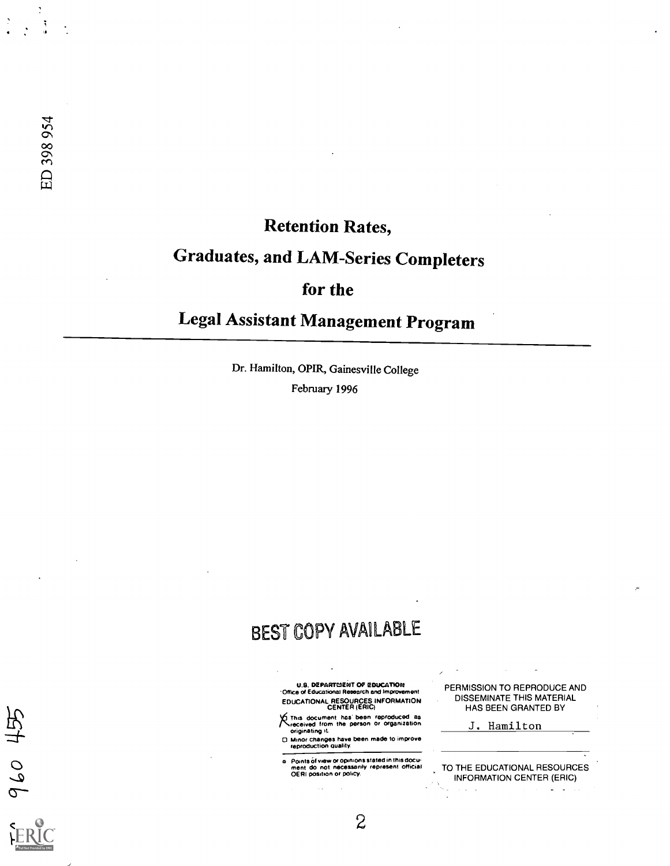960 455

## Retention Rates,

# Graduates, and LAM-Series Completers

## for the

# Legal Assistant Management Program

Dr. Hamilton, OPIR, Gainesville College

February 1996

## BEST COPY AVAILABLE

U.S. DEPARTMENT OF EDUCATION Office of Educational Research and Improvement EDUCATIONAL RESOURCES INFORMATION CENTER (ERIC)

This document has been reproduced as<br>received from the person or organization<br>originating it.

Minor changes have been made to improve reproduction Quality.

o Points Of view or opinions stated in this docu-ment do not necessarily represent official OERI position or policy.

PERMISSION TO REPRODUCE AND DISSEMINATE THIS MATERIAL HAS BEEN GRANTED BY

J. Hamilton

 $\Delta \sim 10$ 

TO THE EDUCATIONAL RESOURCES INFORMATION CENTER (ERIC)

 $\omega = \omega^2$ 

 $\overline{c}$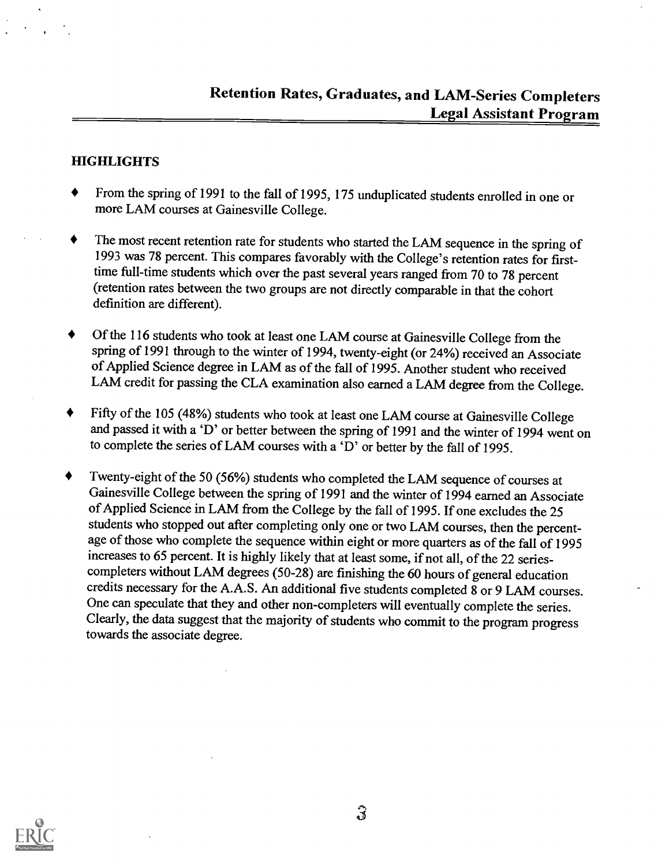#### HIGHLIGHTS

- From the spring of 1991 to the fall of 1995, 175 unduplicated students enrolled in one or ♦ more LAM courses at Gainesville College.
- The most recent retention rate for students who started the LAM sequence in the spring of 1993 was 78 percent. This compares favorably with the College's retention rates for firsttime full-time students which over the past several years ranged from 70 to 78 percent (retention rates between the two groups are not directly comparable in that the cohort definition are different).
- Of the 116 students who took at least one LAM course at Gainesville College from the spring of 1991 through to the winter of 1994, twenty-eight (or 24%) received an Associate of Applied Science degree in LAM as of the fall of 1995. Another student who received LAM credit for passing the CLA examination also earned a LAM degree from the College.
- Fifty of the 105 (48%) students who took at least one LAM course at Gainesville College and passed it with a 'D' or better between the spring of 1991 and the winter of 1994 went on to complete the series of LAM courses with a `D' or better by the fall of 1995.
- Twenty-eight of the 50 (56%) students who completed the LAM sequence of courses at  $\blacklozenge$ Gainesville College between the spring of 1991 and the winter of 1994 earned an Associate of Applied Science in LAM from the College by the fall of 1995. If one excludes the 25 students who stopped out after completing only one or two LAM courses, then the percentage of those who complete the sequence within eight or more quarters as of the fall of 1995 increases to 65 percent. It is highly likely that at least some, if not all, of the 22 seriescompleters without LAM degrees (50-28) are finishing the 60 hours of general education credits necessary for the A.A.S. An additional five students completed 8 or 9 LAM courses. One can speculate that they and other non-completers will eventually complete the series. Clearly, the data suggest that the majority of students who commit to the program progress towards the associate degree.

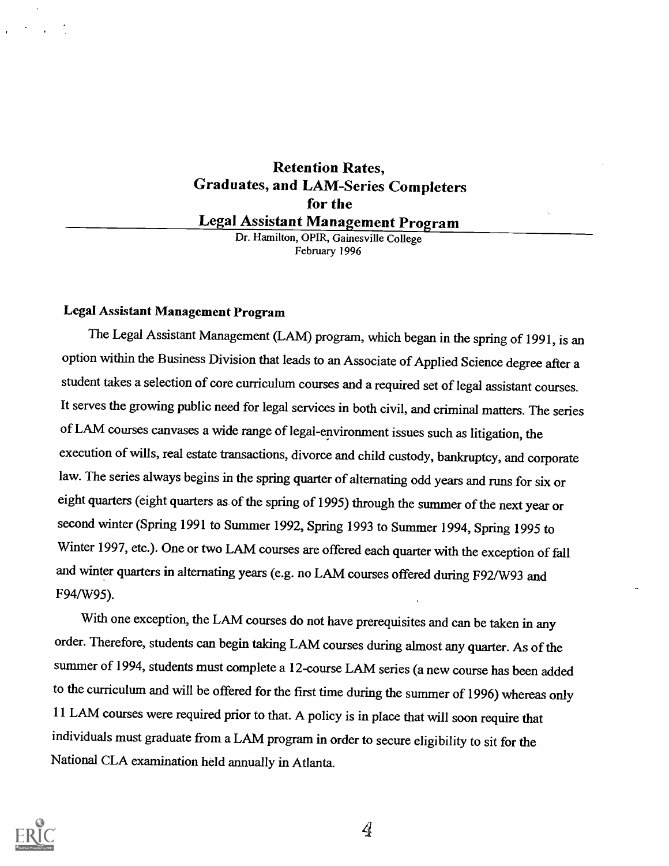## Retention Rates, Graduates, and LAM-Series Completers for the Legal Assistant Management Program

Dr. Hamilton, OPIR, Gainesville College February 1996

#### Legal Assistant Management Program

The Legal Assistant Management (LAM) program, which began in the spring of 1991, is an option within the Business Division that leads to an Associate of Applied Science degree after a student takes a selection of core curriculum courses and a required set of legal assistant courses. It serves the growing public need for legal services in both civil, and criminal matters. The series of LAM courses canvases a wide range of legal-environment issues such as litigation, the execution of wills, real estate transactions, divorce and child custody, bankruptcy, and corporate law. The series always begins in the spring quarter of alternating odd years and runs for six or eight quarters (eight quarters as, of the spring of 1995) through the summer of the next year or second winter (Spring 1991 to Summer 1992, Spring 1993 to Summer 1994, Spring 1995 to Winter 1997, etc.). One or two LAM courses are offered each quarter with the exception of fall and winter quarters in alternating years (e.g. no LAM courses offered during F92/W93 and F94/W95).

With one exception, the LAM courses do not have prerequisites and can be taken in any order. Therefore, students can begin taking LAM courses during almost any quarter. As of the summer of 1994, students must complete a 12-course LAM series (a new course has been added to the curriculum and will be offered for the first time during the summer of 1996) whereas only 11 LAM courses were required prior to that. A policy is in place that will soon require that individuals must graduate from a LAM program in order to secure eligibility to sit for the National CLA examination held annually in Atlanta.



 $\mathcal{A}$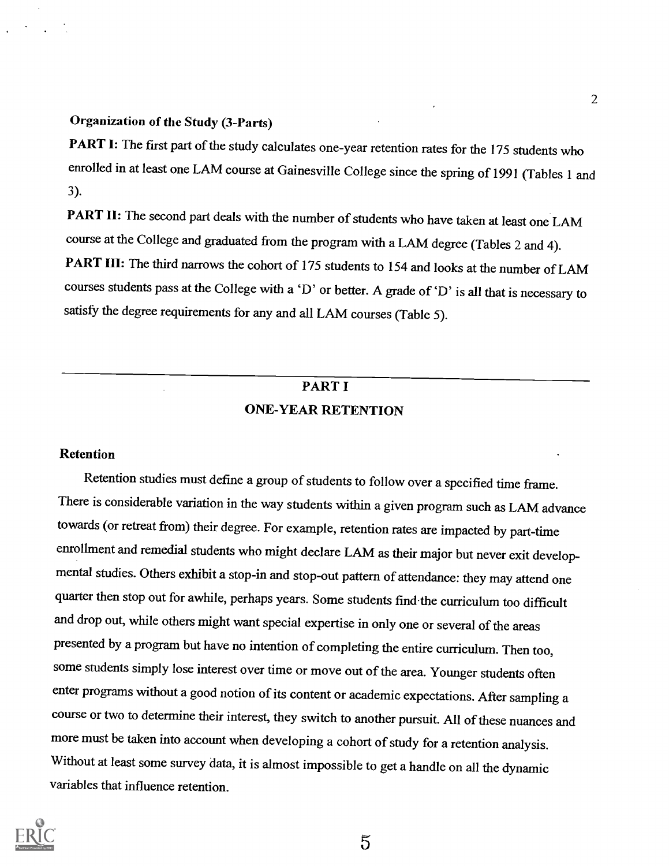#### Organization of the Study (3-Parts)

PART I: The first part of the study calculates one-year retention rates for the 175 students who enrolled in at least one LAM course at Gainesville College since the spring of 1991 (Tables 1 and 3).

PART II: The second part deals with the number of students who have taken at least one LAM course at the College and graduated from the program with a LAM degree (Tables 2 and 4). PART III: The third narrows the cohort of 175 students to 154 and looks at the number of LAM courses students pass at the College with a 'D' or better. A grade of 'D' is all that is necessary to satisfy the degree requirements for any and all LAM courses (Table 5).

## PART I ONE-YEAR RETENTION

#### Retention

Retention studies must define a group of students to follow over a specified time frame. There is considerable variation in the way students within a given program such as LAM advance towards (or retreat from) their degree. For example, retention rates are impacted by part-time enrollment and remedial students who might declare LAM as their major but never exit developmental studies. Others exhibit a stop-in and stop-out pattern of attendance: they may attend one quarter then stop out for awhile, perhaps years. Some students find-the curriculum too difficult and drop out, while others might want special expertise in only one or several of the areas presented by a program but have no intention of completing the entire curriculum. Then too, some students simply lose interest over time or move out of the area. Younger students often enter programs without a good notion of its content or academic expectations. After sampling a course or two to determine their interest, they switch to another pursuit. All of these nuances and more must be taken into account when developing a cohort of study for a retention analysis. Without at least some survey data, it is almost impossible to get a handle on all the dynamic variables that influence retention.



 $\tilde{5}$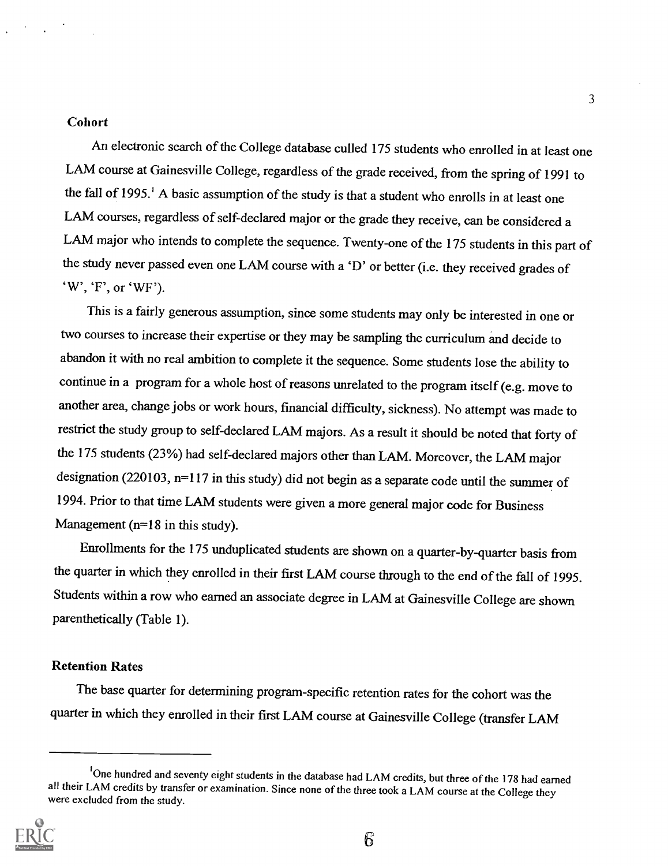#### Cohort

An electronic search of the College database culled 175 students who enrolled in at least one LAM course at Gainesville College, regardless of the grade received, from the spring of 1991 to the fall of 1995.' A basic assumption of the study is that a student who enrolls in at least one LAM courses, regardless of self-declared major or the grade they receive, can be considered a LAM major who intends to complete the sequence. Twenty-one of the 175 students in this part of the study never passed even one LAM course with a 'D' or better (i.e. they received grades of `W', 'F', or 'WF').

This is a fairly generous assumption, since some students may only be interested in one or two courses to increase their expertise or they may be sampling the curriculum and decide to abandon it with no real ambition to complete it the sequence. Some students lose the ability to continue in a program for a whole host of reasons unrelated to the program itself (e.g. move to another area, change jobs or work hours, financial difficulty, sickness). No attempt was made to restrict the study group to self-declared LAM majors. As a result it should be noted that forty of the 175 students (23%) had self-declared majors other thanLAM. Moreover, the LAM major designation (220103, n=117 in this study) did not begin as a separate code until the summer of 1994. Prior to that time LAM students were given a more general major code for Business Management ( $n=18$  in this study).

Enrollments for the 175 unduplicated students are shown on a quarter-by-quarter basis from the quarter in which they enrolled in their first LAM course through to the end of the fall of 1995. Students within a row who earned an associate degree in LAM at Gainesville College are shown parenthetically (Table 1).

#### Retention Rates

The base quarter for determining program-specific retention rates for the cohort was the quarter in which they enrolled in their first LAM course at Gainesville College (transfer LAM

<sup>&</sup>lt;sup>1</sup>One hundred and seventy eight students in the database had LAM credits, but three of the 178 had earned all their LAM credits by transfer or examination. Since none of the three took a LAM course at the College they were excluded from the study.



3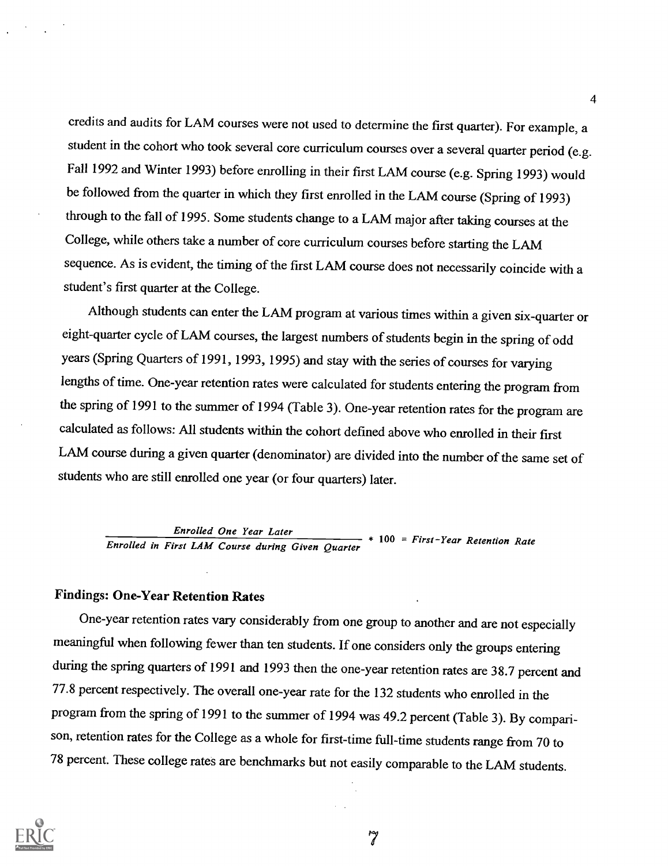credits and audits for LAM courses were not used to determine the first quarter). For example, <sup>a</sup> student in the cohort who took several core curriculum courses over a several quarter period (e.g. Fall 1992 and Winter 1993) before enrolling in their first LAM course (e.g. Spring 1993) would be followed from the quarter in which they first enrolled in the LAM course (Spring of 1993) through to the fall of 1995. Some students change to a LAM major after taking courses at the College, while others take a number of core curriculum courses before starting the LAM sequence. As is evident, the timing of the first LAM course does not necessarily coincide with a student's first quarter at the College.

Although students can enter the LAM program at various times within a given six-quarter or eight-quarter cycle of LAM courses, the largest numbers of students begin in the spring of odd years (Spring Quarters of 1991, 1993, 1995) and stay with the series of courses for varying lengths of time. One-year retention rates were calculated for students entering the program from the spring of 1991 to the summer of 1994 (Table 3). One-year retention rates for the program are calculated as follows: All students within the cohort defined above who enrolled in their first LAM course during a given quarter (denominator) are divided into the number of the same set of students who are still enrolled one year (or four quarters) later.

Enrolled One Year Later **ENTIRE 100 FOR THE ENRY CONSTRUCT OF A 100 = First-Year Retention Rate** Enrolled in First LAM Course during Given Quarter

#### Findings: One-Year Retention Rates

One-year retention rates vary considerably from one group to another and are not especially meaningful when following fewer than ten students. If one considers only the groups entering during the spring quarters of 1991 and 1993 then the one-year retention rates are 38.7 percent and 77.8 percent respectively. The overall one-year rate for the 132 students who enrolled in the program from the spring of 1991 to the summer of 1994 was 49.2 percent (Table 3). By comparison, retention rates for the College as a whole for first-time full-time students range from 70 to 78 percent. These college rates are benchmarks but not easily comparable to the LAM students.



4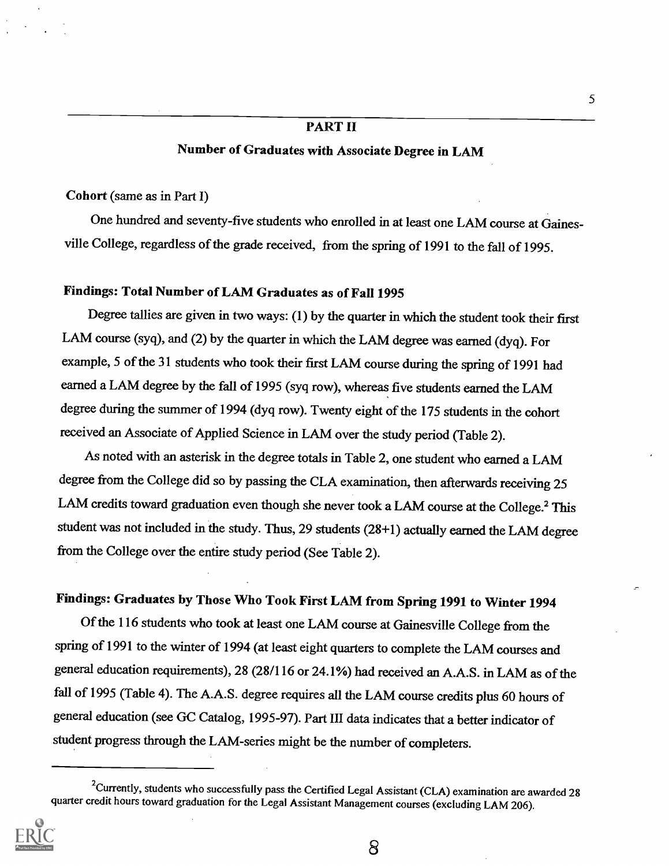#### PART II

#### Number of Graduates with Associate Degree in LAM

#### Cohort (same as in Part I)

One hundred and seventy-five students who enrolled in at least one LAM course at Gainesville College, regardless of the grade received, from the spring of 1991 to the fall of 1995.

#### Findings: Total Number of LAM Graduates as of Fall 1995

Degree tallies are given in two ways: (1) by the quarter in which the student took their first LAM course (syq), and (2) by the quarter in which the LAM degree was earned (dyq). For example, 5 of the 31 students who took their first LAM course during the spring of 1991 had earned a LAM degree by the fall of 1995 (syq row), whereas five students earned the LAM degree during the summer of 1994 (dyq row). Twenty eight of the 175 students in the cohort received an Associate of Applied Science in LAM over the study period (Table 2).

As noted with an asterisk in the degree totals in Table 2, one student who earned a LAM degree from the College did so by passing the CLA examination, then afterwards receiving 25 LAM credits toward graduation even though she never took a LAM course at the College.<sup>2</sup> This student was not included in the study. Thus, 29 students (28+1) actually earned the LAM degree from the College over the entire study period (See Table 2).

## Findings: Graduates by Those Who Took First LAM from Spring 1991 to Winter 1994

Of the 116 students who took at least one LAM course at Gainesville College from the spring of 1991 to the winter of 1994 (at least eight quarters to complete the LAM courses and general education requirements), 28 (28/116 or 24.1%) had received an A.A.S. in LAM as of the fall of 1995 (Table 4). The A.A.S. degree requires all the LAM course credits plus 60 hours of general education (see GC Catalog, 1995-97). Part III data indicates that a better indicator of student progress through the LAM-series might be the number of completers.

<sup>&</sup>lt;sup>2</sup>Currently, students who successfully pass the Certified Legal Assistant (CLA) examination are awarded 28 quarter credit hours toward graduation for the Legal Assistant Management courses (excluding LAM 206).

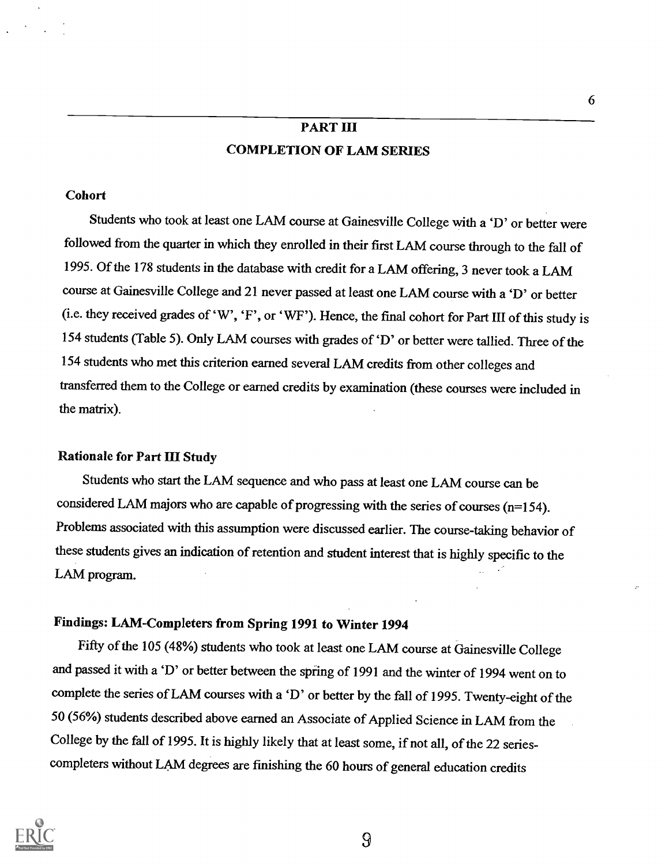## PART III COMPLETION OF LAM SERIES

#### **Cohort**

Students who took at least one LAM course at Gainesville College with a 'D' or better were followed from the quarter in which they enrolled in their first LAM course through to the fall of 1995. Of the 178 students in the database with credit for a LAM offering, 3 never took a LAM course at Gainesville College and 21 never passed at least one LAM course with a 'D' or better (i.e. they received grades of 'W', 'F', or 'WF'). Hence, the final cohort for Part III of this study is 154 students (Table 5). Only LAM courses with grades of 'D' or better were tallied. Three of the 154 students who met this criterion earned several LAM credits from other colleges and transferred them to the College or earned credits by examination (these courses were included in the matrix).

#### Rationale for Part III Study

Students who start the LAM sequence and who pass at least one LAM course can be considered LAM majors who are capable of progressing with the series of courses (n=154). Problems associated with this assumption were discussed earlier. The course-taking behavior of these students gives an indication of retention and student interest that is highly specific to the LAM program.

#### Findings: LAM-Completers from Spring 1991 to Winter 1994

Fifty of the 105 (48%) students who took at least one LAM course at Gainesville College and passed it with a 'D' or better between the spring of 1991 and the winter of 1994 went on to complete the series of LAM courses with a 'D' or better by the fall of 1995. Twenty-eight of the 50 (56%) students described above earned an Associate of Applied Science in LAM from the College by the fall of 1995. It is highly likely that at least some, if not all, of the 22 seriescompleters without LAM degrees are finishing the 60 hours of general education credits



9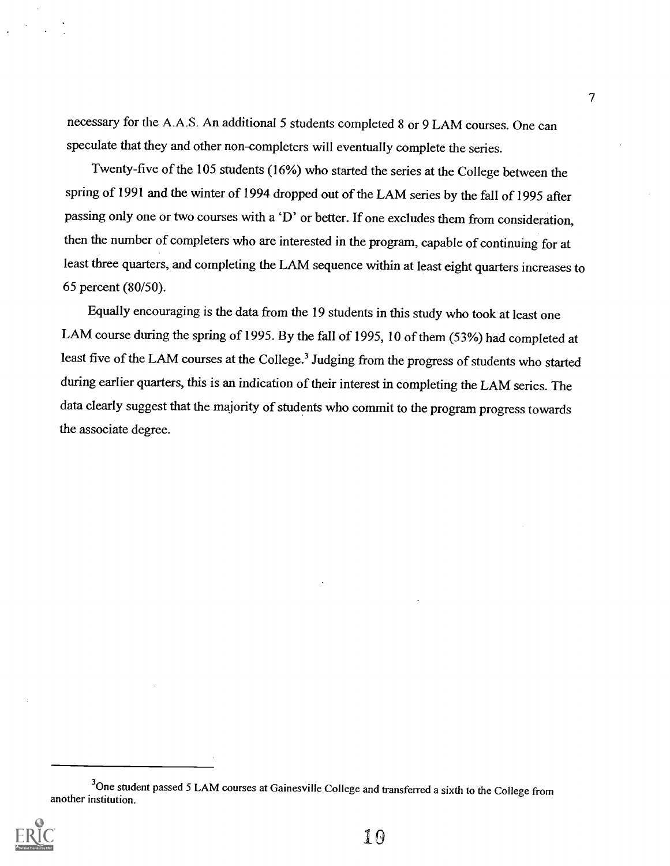necessary for the A.A.S. An additional 5 students completed 8 or 9 LAM courses. One can speculate that they and other non-completers will eventually complete the series.

Twenty-five of the 105 students (16%) who started the series at the College between the spring of 1991 and the winter of 1994 dropped out of the LAM series by the fall of 1995 after passing only one or two courses with a 'D' or better. If one excludes them from consideration, then the number of completers who are interested in the program, capable of continuing for at least three quarters, and completing the LAM sequence within at least eight quarters increases to 65 percent (80/50).

Equally encouraging is the data from the 19 students in this study who took at least one LAM course during the spring of 1995. By the fall of 1995, 10 of them (53%) had completed at least five of the LAM courses at the College.<sup>3</sup> Judging from the progress of students who started during earlier quarters, this is an indication of their interest in completing the LAM series. The data clearly suggest that the majority of students who commit to the program progress towards the associate degree.

<sup>&</sup>lt;sup>3</sup>One student passed 5 LAM courses at Gainesville College and transferred a sixth to the College from another institution.



10

7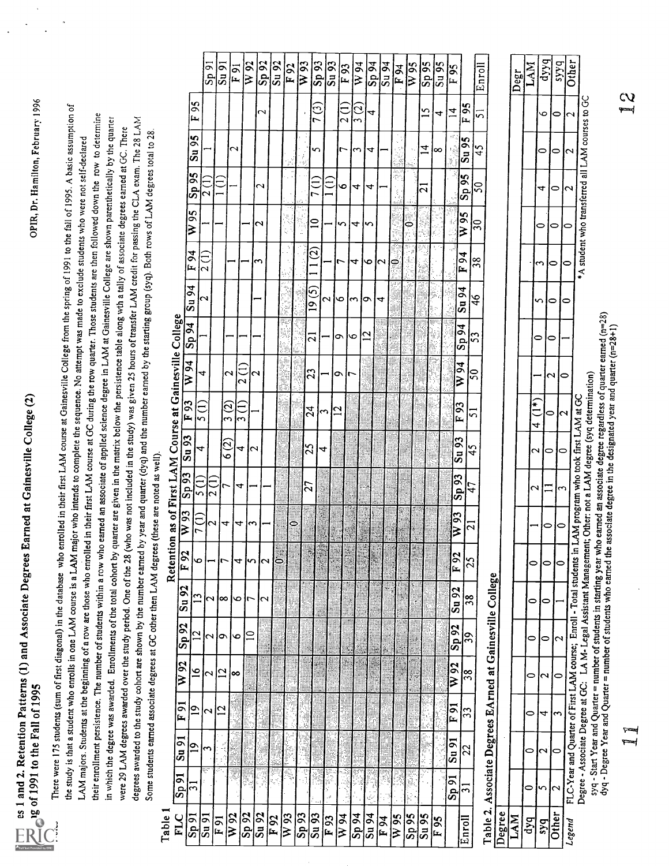| $\sim$ $\sim$ $\sim$ $\sim$<br>יו<br>ג<br>ג<br>s Earned at Gainesvil<br>on Dottowns (1) and Association<br>֧ׅ֚֚֚֚֚֚֚֚֚֚֚֚֚֚֚֓֕֡֡֓֓֡֓֡֓֡֓֡֓֡֟֓֡֡֓֡֟֓֡֟֓֡֟֓֡֟֓֡֟<br>ſ |                             |
|---------------------------------------------------------------------------------------------------------------------------------------------------------------------|-----------------------------|
| í                                                                                                                                                                   | ĺ                           |
|                                                                                                                                                                     | $\sim$ , and the Refl -care |
| es 1 and 2. Retentic                                                                                                                                                | l<br>C<br>$\frac{1}{2}$     |
|                                                                                                                                                                     |                             |

 $\mathbb{Z}_{\text{el}}$  1991 to the Fall of 1995  $^\circ$ <br>There were 173 stadents (sum of first diagonal) in the database who emplied in their first LAM course at Geimsville College from the spring of 1991 to the fall of 1995. A basic

|                                                         |                             |                          | $S_{\rm p}$ 91        | $\mathbf{S}$ u $\mathbf{S}$ | F91                     | W 92                                     | Sp 92                   | $\overline{\text{Su}}$ 92 | F 92     | $\frac{1}{\sqrt{93}}$ | Sp 93               | Su 93          | $F_{93}$   | W 94               |                | $\frac{25}{24}$       | $F\overline{94}$ | $\overline{W}$ 95 | $\overline{\text{Sp}}\overline{\text{95}}$ | $\frac{1}{56}$  | $F_{95}$          |                         | Enroll                   |                                                                  |
|---------------------------------------------------------|-----------------------------|--------------------------|-----------------------|-----------------------------|-------------------------|------------------------------------------|-------------------------|---------------------------|----------|-----------------------|---------------------|----------------|------------|--------------------|----------------|-----------------------|------------------|-------------------|--------------------------------------------|-----------------|-------------------|-------------------------|--------------------------|------------------------------------------------------------------|
|                                                         |                             | F 95                     |                       |                             |                         |                                          | $\mathbf{\sim}$         |                           |          |                       | 7 (3)               |                | 2 (1)<br>2 | $\frac{2}{3}$      | 4              |                       |                  |                   | $\overline{15}$                            | 4               | $\overline{A}$    | F 95                    | ភ                        |                                                                  |
|                                                         | Su 95                       |                          |                       |                             | $\overline{\mathbf{c}}$ |                                          |                         |                           |          | $\frac{1}{2}$         | S                   |                | ٢          | ς                  | 4              |                       |                  |                   | $\vec{r}$                                  | ∞               | τÊ<br>g.<br>F     | Su 95                   | $\frac{45}{5}$           |                                                                  |
|                                                         | $\mathsf{Sp}95$             |                          | $\bar{\mathsf{c}}$    | Ë                           |                         |                                          | $\sim$                  |                           |          |                       |                     | Ë              | ৹          | 4                  | 4              |                       |                  |                   | $\mathbf{\hat{c}}$                         |                 |                   | Sp 95                   | $\overline{50}$          |                                                                  |
|                                                         | $W_{95}$                    |                          |                       |                             |                         |                                          | 2                       |                           |          |                       | $\mathop{=}$        |                | n          | 4                  | n              |                       |                  | ؋                 |                                            |                 |                   | W <sub>95</sub>         | $\overline{\mathbf{30}}$ |                                                                  |
|                                                         | F 94                        | $\overline{\mathcal{C}}$ |                       |                             |                         |                                          | 3                       |                           |          |                       | $\overline{\omega}$ |                |            | 4                  | o              | $\mathbf{\mathbf{a}}$ | Š                |                   |                                            |                 |                   | F94                     | 38                       |                                                                  |
|                                                         | Su 94                       | 2                        |                       |                             |                         |                                          |                         |                           |          |                       | 19(5)               | 2              | o          | $\mathbf{\hat{z}}$ | Ó              | 4                     |                  |                   |                                            |                 |                   | Su 94                   | $\frac{4}{6}$            |                                                                  |
|                                                         | Sp 94                       |                          |                       |                             |                         |                                          |                         |                           |          |                       | ត                   |                | o          | 6                  | $\overline{c}$ |                       |                  |                   |                                            |                 |                   | Sp 94                   | 53                       |                                                                  |
|                                                         | $W\overline{94}$            | 4                        |                       |                             | $\mathbf{\mathsf{c}}$   | $\overline{2}$ (1)                       | $\overline{\mathbf{c}}$ |                           |          |                       | 23                  |                | ᇰ<br>r     |                    |                |                       |                  |                   |                                            |                 |                   | W <sub>94</sub>         | $\overline{5}$           |                                                                  |
|                                                         | $F_{93}$                    | 5(1)                     |                       | $\frac{3}{2}$               |                         | $\frac{1}{3}$                            |                         |                           |          | 24                    | ς                   | $\overline{c}$ |            |                    |                |                       |                  |                   |                                            |                 | $F\overline{93}$  |                         | ភ                        |                                                                  |
|                                                         | $\mathbf{S}$ u $\mathbf{S}$ | 4                        |                       | 6 (2)                       | 4                       | $\mathbf{\hat{c}}$                       |                         |                           |          | 25                    | 4                   |                |            |                    |                |                       |                  |                   |                                            |                 | Su 93             |                         | 45                       |                                                                  |
|                                                         | Sp93                        | $\frac{1}{2}$            | $\frac{1}{2}$         |                             | 4                       |                                          |                         |                           |          | $\overline{27}$       |                     |                |            |                    |                |                       |                  |                   |                                            |                 | Sp93              | 47                      |                          |                                                                  |
|                                                         | $\overline{W}$ 93           | 7(1)                     | $\mathbf{\mathbf{a}}$ | 4                           | 4                       | ς                                        |                         |                           | ē        |                       |                     |                |            |                    |                |                       | ÿ.               |                   |                                            |                 | $W_{93}$          | $\overline{\mathbf{c}}$ |                          |                                                                  |
| Retention as of First LAM Course at Gainesville College | F 92                        | O                        |                       |                             | 4                       | S                                        | $\mathrel{\sim}$        | ්                         |          |                       |                     |                |            |                    |                |                       |                  |                   |                                            |                 | $F_{92}$          | 25                      |                          |                                                                  |
|                                                         | Su 92                       | $\mathbf{r}$             | 2                     | $\infty$                    | ৩                       | 7                                        | $\sim$                  |                           |          |                       |                     |                |            |                    |                |                       |                  |                   |                                            |                 | Su 92             | 38                      |                          |                                                                  |
|                                                         | Sp 92                       | $\overline{c}$           | Z                     | $\bullet$                   | ৩                       | $\mathrel{\mathop{\mathsf{=}}\nolimits}$ |                         |                           |          |                       |                     |                |            |                    |                |                       |                  |                   |                                            |                 | $Sp\overline{92}$ | 39                      |                          |                                                                  |
|                                                         | W 92                        | $\overline{6}$           | 2                     | $\overline{\mathbf{C}}$     | ∞                       |                                          |                         |                           |          |                       |                     |                |            |                    |                |                       |                  |                   |                                            |                 | W <sub>92</sub>   | $\frac{8}{3}$           |                          |                                                                  |
|                                                         | F91                         | $\overline{6}$           | $\mathbf{\mathsf{c}}$ | $\overline{c}$              |                         |                                          |                         |                           |          |                       |                     |                |            |                    |                |                       |                  |                   |                                            |                 | F91               | 33                      |                          |                                                                  |
|                                                         | $\sin 91$<br>$\overline{9}$ |                          |                       |                             |                         |                                          |                         |                           |          |                       |                     |                |            |                    |                |                       |                  |                   |                                            |                 | $\mathbf{S}$ u 91 | $\overline{2}$          |                          |                                                                  |
|                                                         | S <sub>D</sub><br>ಸ         |                          | Ŧ                     |                             |                         | F.                                       | ĥ,<br>ÿ                 | Ħ                         | Ñ        | á                     |                     | S<br>å,        |            |                    |                |                       |                  |                   |                                            |                 | $S_{\rm D}$ 91    | $\overline{31}$         |                          |                                                                  |
| <b>L</b><br>Blon                                        | FLC<br>5091                 | $\sin 91$                |                       | F91                         | W 92                    | Sp92                                     | Su 92                   | F92                       | $W_{93}$ | Sp 93                 | Su 93               | $F_{93}$       | W 94       | <b>be ds</b>       | Su 94          | F <sub>94</sub>       | W <sub>95</sub>  | Sp 95             | Su 95                                      | F <sub>95</sub> |                   | nroll                   |                          | able 2. Associate Degrees EArned at Gainesville College<br>egree |

-1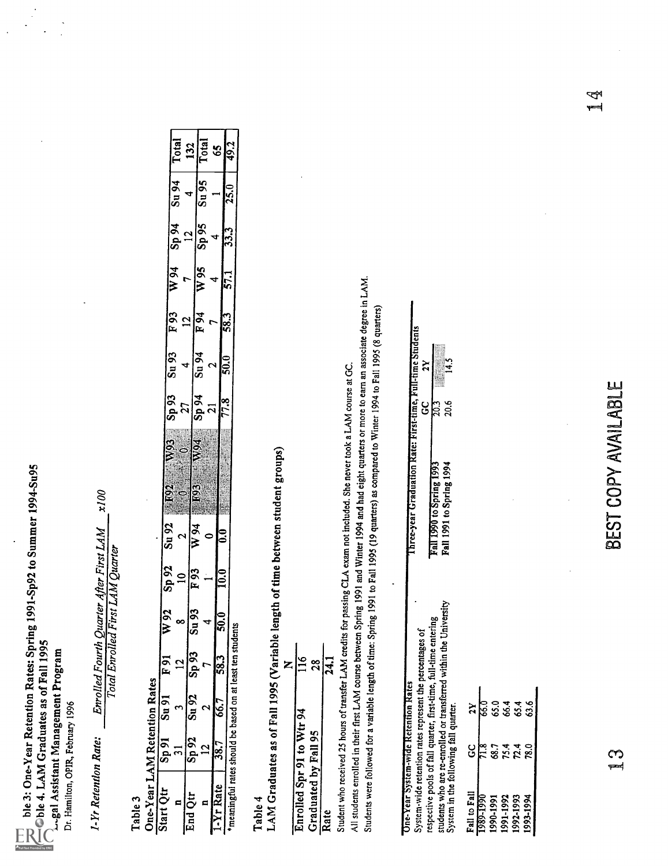

| $\frac{132}{10\tan 100}$                            |                          |                               |                         |        |        |
|-----------------------------------------------------|--------------------------|-------------------------------|-------------------------|--------|--------|
| z<br>ຮັ                                             | 4                        | δŚ<br>$\overline{\mathbf{s}}$ |                         |        | i<br>C |
| द्र<br>$\mathbf{s}$                                 | $\overline{12}$          | Sp95                          |                         |        | 227    |
| W 94                                                | $\overline{r}$           | W <sub>95</sub>               | 4                       |        | 571    |
| $\begin{array}{c}\n\hline\nF 93 \\ 12\n\end{array}$ |                          | $F_{94}$                      | t                       | 583    |        |
| $\frac{26 \text{ m}}{2}$                            | $\overline{\phantom{0}}$ | <b>5u 94</b>                  | $\overline{\mathbf{c}}$ | 50.0   |        |
| Sp 93                                               | 27                       | 50 q <sup>2</sup>             | <u>ដ</u>                | 77.8   |        |
| $W^{102}$<br>$W^{03}$<br>$W^{04}$<br>$W^{04}$       |                          |                               |                         |        |        |
| 5000<br>$\mathbf{\Omega}$                           | W <sub>94</sub>          |                               |                         | ິ      |        |
| 76 de<br>$\Xi$                                      | $F_{93}$                 |                               |                         | 10.0   |        |
| 76 N<br>$\infty$                                    | S,<br>ã                  |                               |                         | 50.0   |        |
| $\frac{2}{5}$<br>$\overline{a}$                     | <u>ခု</u>                |                               |                         |        |        |
| reno                                                | Su 92                    |                               |                         |        |        |
| $\frac{1}{2}$<br>$\overline{a}$                     | è                        | $\mathbf{\mathsf{c}}$         |                         | 。<br>。 |        |
|                                                     |                          | ø                             |                         |        |        |

| ֧֦֧֧֧֚֚֚֚֚֚֚֚֚֚֚֚֚֚֚֚֚֚֚֚֚֚֚֚֚֚֚֚֚֚֚֝֝֝֓ | $\frac{8}{2}$        |      |
|------------------------------------------|----------------------|------|
| Enrolled Spr 91 to Wtr 94                | Graduated by Fall 95 | Rate |

| Die 3: One-Year Retention Rates: Spring 1991-Sp92 to Summer 1994-Su95<br>Due Si Viers And Graduates as of Fall 1995<br>Coble 4. LAM Graduates as of Fall 1995<br>Lugal Assistant Management Program<br>Dr. Hamilton, OPIR, February 1996 |                                |                                               |                        |                                                                             |                                  |                                                           |                                                                                                                                                                                                                                                                                                                                                                                                                                            |                                   |                                     |                 |                       |                           |                                |                             |
|------------------------------------------------------------------------------------------------------------------------------------------------------------------------------------------------------------------------------------------|--------------------------------|-----------------------------------------------|------------------------|-----------------------------------------------------------------------------|----------------------------------|-----------------------------------------------------------|--------------------------------------------------------------------------------------------------------------------------------------------------------------------------------------------------------------------------------------------------------------------------------------------------------------------------------------------------------------------------------------------------------------------------------------------|-----------------------------------|-------------------------------------|-----------------|-----------------------|---------------------------|--------------------------------|-----------------------------|
| 1-Yr Retention Rate:                                                                                                                                                                                                                     |                                |                                               |                        | Enrolled Fourth Quarter After First LAM<br>Total Enrolled First LAM Quarter |                                  |                                                           | 200x                                                                                                                                                                                                                                                                                                                                                                                                                                       |                                   |                                     |                 |                       |                           |                                |                             |
| One-Year LAM Retention Rates<br>Table 3                                                                                                                                                                                                  |                                |                                               |                        |                                                                             |                                  |                                                           |                                                                                                                                                                                                                                                                                                                                                                                                                                            |                                   |                                     |                 |                       |                           |                                |                             |
| Start Qtr                                                                                                                                                                                                                                | 5p91<br>$\overline{31}$        | $Su$ 91                                       | $\overline{\Xi}$<br>12 | $\overline{W}$ 92<br>∞                                                      | $\frac{26}{3}$<br>$\overline{a}$ | $\frac{26 \text{ m}}{8 \text{ m/s}}$<br>$\mathbf{\Omega}$ | <b>ESS</b><br>1992<br>$\ddot{\circ}$                                                                                                                                                                                                                                                                                                                                                                                                       | $\frac{20}{3}$                    | $\frac{26 \text{ m}}{20}$           | $\frac{56}{15}$ | $\frac{16 M}{1}$      | $\frac{16}{29}$           | $\frac{16 \text{ n}}{24}$      | Total                       |
| End Qtr<br>⋴                                                                                                                                                                                                                             | $\frac{26}{3}$<br>$\mathbf{r}$ | $\frac{26 \text{ m}}{2}$<br>$\mathbf{\Omega}$ | $\frac{26}{15}$<br>٣   | $\frac{20}{3}$<br>4                                                         | $\overline{F}$ 93                | $\overline{W94}$<br>$\bullet$                             | <b>F03</b>                                                                                                                                                                                                                                                                                                                                                                                                                                 | $\frac{27}{5p\,94}$<br><b>M94</b> | $\frac{16 \text{ nS}}{24}$<br>4     | $\frac{12}{F}$  | $\frac{1}{8}$<br>7    | $56$ ds<br>$\frac{2}{12}$ | $\frac{26 \text{ m}}{25}$<br>4 | $\sqrt{\frac{1}{2}}$<br>132 |
| 1-Yr Rate                                                                                                                                                                                                                                | $\frac{1}{387}$                | 66.7                                          | 58.3                   | $\frac{1}{50.0}$                                                            | 0.01                             | ြိ                                                        |                                                                                                                                                                                                                                                                                                                                                                                                                                            | 77.8<br>$\overline{a}$            | $\frac{1}{50}$<br>$\mathbf{\Omega}$ | ြို့            | $\overline{571}$<br>4 | 33.3<br>4                 |                                | $rac{65}{49.2}$             |
| *meaningful rates should be based on at least ten students                                                                                                                                                                               |                                |                                               |                        |                                                                             |                                  |                                                           |                                                                                                                                                                                                                                                                                                                                                                                                                                            |                                   |                                     |                 |                       |                           | 25.0                           |                             |
| Table 4                                                                                                                                                                                                                                  |                                |                                               |                        |                                                                             |                                  |                                                           | LAM Graduates as of Fall 1995 (Variable length of time between student groups)                                                                                                                                                                                                                                                                                                                                                             |                                   |                                     |                 |                       |                           |                                |                             |
| Enrolled Spr 91 to Wtr 94                                                                                                                                                                                                                |                                |                                               | $\frac{911}{2}$<br>Z   |                                                                             |                                  |                                                           |                                                                                                                                                                                                                                                                                                                                                                                                                                            |                                   |                                     |                 |                       |                           |                                |                             |
| Graduated by Fall 95                                                                                                                                                                                                                     |                                |                                               | 28                     |                                                                             |                                  |                                                           |                                                                                                                                                                                                                                                                                                                                                                                                                                            |                                   |                                     |                 |                       |                           |                                |                             |
| Rate                                                                                                                                                                                                                                     |                                |                                               | 24.1                   |                                                                             |                                  |                                                           |                                                                                                                                                                                                                                                                                                                                                                                                                                            |                                   |                                     |                 |                       |                           |                                |                             |
|                                                                                                                                                                                                                                          |                                |                                               |                        |                                                                             |                                  |                                                           | All students enrolled in their first LAM course between Spring 1991 and Winter 1994 and had eight quarters or more to earn an associate degree in LAM.<br>Students were followed for a variable length of time: Spring 1991 to Fall 1995 (19 quarters) as compared to Winter 1994 to Fall 1995 (8 quarters)<br>Student who received 25 hours of transfer LAM credits for passing CLA exam not included. She never took a LAM course at GC. |                                   |                                     |                 |                       |                           |                                |                             |
| System-wide retention rates represent the percentages of<br><b>One-Year System-wide Retention Rates</b>                                                                                                                                  |                                |                                               |                        |                                                                             |                                  |                                                           | Three-year Graduation Rate: First-time, Full-time Students                                                                                                                                                                                                                                                                                                                                                                                 |                                   |                                     |                 |                       |                           |                                |                             |
| students who are re-enrolled or transferred within the University<br>System in the following fall quarter.<br>respective pools of fall quarter, first-time, full-time entering                                                           |                                |                                               |                        |                                                                             |                                  |                                                           | Fall 1991 to Spring 1994<br>Fall 1990 to Spring 1993                                                                                                                                                                                                                                                                                                                                                                                       | 20.6<br>$\frac{1}{20}$<br>ပ္ပ     | $\frac{14.5}{2}$<br>$\mathbf{z}$    |                 |                       |                           |                                |                             |
| Fall to Fall                                                                                                                                                                                                                             | ပ္ပ                            | $\mathbf{z}$                                  |                        |                                                                             |                                  |                                                           |                                                                                                                                                                                                                                                                                                                                                                                                                                            |                                   |                                     |                 |                       |                           |                                |                             |
| 1989-1990                                                                                                                                                                                                                                | $\frac{8.16}{2}$               | e<br>P                                        |                        |                                                                             |                                  |                                                           |                                                                                                                                                                                                                                                                                                                                                                                                                                            |                                   |                                     |                 |                       |                           |                                |                             |
| 1991-1992<br>1990-1991                                                                                                                                                                                                                   | 75.4<br>68.7                   | 65.0                                          |                        |                                                                             |                                  |                                                           |                                                                                                                                                                                                                                                                                                                                                                                                                                            |                                   |                                     |                 |                       |                           |                                |                             |
| 1992-1993<br>1993-1994                                                                                                                                                                                                                   | 72.4<br>78.0                   | 65.4<br>63.6                                  |                        |                                                                             |                                  |                                                           |                                                                                                                                                                                                                                                                                                                                                                                                                                            |                                   |                                     |                 |                       |                           |                                |                             |
|                                                                                                                                                                                                                                          |                                |                                               |                        |                                                                             |                                  |                                                           |                                                                                                                                                                                                                                                                                                                                                                                                                                            |                                   |                                     |                 |                       |                           |                                |                             |
|                                                                                                                                                                                                                                          |                                |                                               |                        |                                                                             |                                  |                                                           |                                                                                                                                                                                                                                                                                                                                                                                                                                            |                                   |                                     |                 |                       |                           |                                |                             |
|                                                                                                                                                                                                                                          |                                |                                               |                        |                                                                             |                                  |                                                           |                                                                                                                                                                                                                                                                                                                                                                                                                                            |                                   |                                     |                 |                       |                           |                                |                             |
|                                                                                                                                                                                                                                          | గా<br>$\leftarrow$             |                                               |                        |                                                                             |                                  |                                                           | BEST COPY AVAILABLE                                                                                                                                                                                                                                                                                                                                                                                                                        |                                   |                                     |                 |                       |                           |                                |                             |
|                                                                                                                                                                                                                                          |                                |                                               |                        |                                                                             |                                  |                                                           |                                                                                                                                                                                                                                                                                                                                                                                                                                            |                                   |                                     |                 |                       |                           |                                |                             |
|                                                                                                                                                                                                                                          |                                |                                               |                        |                                                                             |                                  |                                                           |                                                                                                                                                                                                                                                                                                                                                                                                                                            |                                   |                                     |                 |                       |                           |                                |                             |
|                                                                                                                                                                                                                                          |                                |                                               |                        |                                                                             |                                  |                                                           |                                                                                                                                                                                                                                                                                                                                                                                                                                            |                                   |                                     |                 |                       |                           |                                |                             |
|                                                                                                                                                                                                                                          |                                |                                               |                        |                                                                             |                                  |                                                           |                                                                                                                                                                                                                                                                                                                                                                                                                                            |                                   |                                     |                 |                       |                           |                                |                             |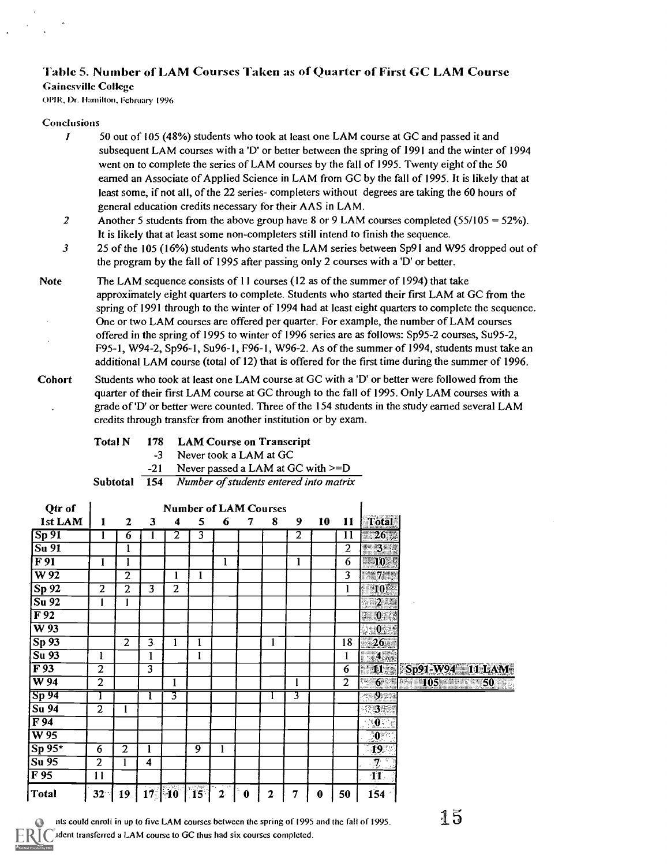#### Table 5. Number of LAM Courses Taken as of Quarter of First GC LAM Course

#### Gainesville College

(0112, 1)r. Ilamilion, February 1996

#### Conclusions

- $\boldsymbol{l}$ 50 out of 105 (48%) students who took at least one LAM course at GC and passed it and subsequent LAM courses with a 'D' or better between the spring of 1991 and the winter of 1994 went on to complete the series of LAM courses by the fall of 1995. Twenty eight of the 50 earned an Associate of Applied Science in LAM from GC by the fall of 1995. It is likely that at least some, if not all, of the 22 series- completers without degrees are taking the 60 hours of general education credits necessary for their AAS in LAM.
- 2 Another 5 students from the above group have 8 or 9 LAM courses completed ( $55/105 = 52\%$ ). It is likely that at least some non-completers still intend to finish the sequence.
- 3 25 of the 105 (16%) students who started the LAM series between Sp91 and W95 dropped out of the program by the fall of 1995 after passing only 2 courses with a 'D' or better.
- Note The LAM sequence consists of 11 courses (12 as of the summer of 1994) that take approximately eight quarters to complete. Students who started their first LAM at GC from the spring of 1991 through to the winter of 1994 had at least eight quarters to complete the sequence. One or two LAM courses are offered per quarter. For example, the number of LAM courses offered in the spring of 1995 to winter of 1996 series are as follows: Sp95-2 courses, Su95-2, F95-1, W94-2, Sp96-1, Su96-1, F96-1, W96-2. As of the summer of 1994, students must take an additional LAM course (total of 12) that is offered for the first time during the summer of 1996.
- Cohort Students who took at least one LAM course at GC with a 'D' or better were followed from the quarter of their first LAM course at GC through to the fall of 1995. Only LAM courses with a grade of 'D' or better were counted. Three of the 154 students in the study earned several LAM credits through transfer from another institution or by exam.

Total N 178 LAM Course on Transcript

-3 Never took a LAM at GC

-21 Never passed a LAM at GC with >=D

Subtotal 154 Number of students entered into matrix

| Qtr of                     |                         |              |                     |                | <b>Number of LAM Courses</b> |       |   |              |                |    |                         |                           |                                        |  |
|----------------------------|-------------------------|--------------|---------------------|----------------|------------------------------|-------|---|--------------|----------------|----|-------------------------|---------------------------|----------------------------------------|--|
| 1st LAM                    | 1                       | $\mathbf{2}$ | 3                   | 4              | 5                            | 6     | 7 | 8            | 9              | 10 | 11                      | <b>Total</b>              |                                        |  |
| $\sqrt{\text{Sp }91}$      | 1                       | 6            |                     | 2              | 3                            |       |   |              | $\overline{2}$ |    | 11                      | $26\%$                    |                                        |  |
| $\sqrt{\text{Su}91}$       |                         |              |                     |                |                              |       |   |              |                |    | $\overline{c}$          | $3\overline{3}$           |                                        |  |
| $\overline{F91}$           | 1                       | ı            |                     |                |                              | 1     |   |              | 1              |    | 6                       | 10.                       |                                        |  |
| $\overline{W92}$           |                         | 2            |                     | п              | 1                            |       |   |              |                |    | $\overline{\mathbf{3}}$ | $7\overline{ }$           |                                        |  |
| Sp92                       | $\overline{2}$          | 2            | 3                   | $\overline{2}$ |                              |       |   |              |                |    | 1                       | 101                       |                                        |  |
| $\overline{Su}$ 92         | 1                       |              |                     |                |                              |       |   |              |                |    |                         | $2 -$                     |                                        |  |
| $\overline{F92}$           |                         |              |                     |                |                              |       |   |              |                |    |                         | $\mathbf{0}$              |                                        |  |
| $\overline{W}$ 93          |                         |              |                     |                |                              |       |   |              |                |    |                         | $\bf{0}$                  |                                        |  |
| Sp <sub>93</sub>           |                         | 2            | 3.                  |                | 1                            |       |   | 1            |                |    | 18                      | 26 <sub>1</sub>           |                                        |  |
| Su 93                      | I                       |              | 1                   |                | $\mathbf{I}$                 |       |   |              |                |    |                         | $\left  4 \right $        |                                        |  |
| $\overline{F93}$           | $\overline{\mathbf{2}}$ |              | 3                   |                |                              |       |   |              |                |    | 6                       | 1174                      | Sp91-W94 11 LAM                        |  |
| $\overline{W94}$           | 2                       |              |                     | 1              |                              |       |   |              |                |    | $\overline{2}$          | 6 <sup>1</sup>            | <b><i>Kill 105 Million 50 Mill</i></b> |  |
| $\overline{{\rm Sp}\, 94}$ |                         |              |                     | 3.             |                              |       |   |              | 3              |    |                         | IJ.                       |                                        |  |
| $\overline{Su\,94}$        | $\overline{2}$          |              |                     |                |                              |       |   |              |                |    |                         | B                         |                                        |  |
| $\overline{F94}$           |                         |              |                     |                |                              |       |   |              |                |    |                         | $\overline{\mathbf{0}}$ . |                                        |  |
| $\overline{W}$ 95          |                         |              |                     |                |                              |       |   |              |                |    |                         | $10^{11}$                 |                                        |  |
| $Sp$ 95*                   | 6                       | $\mathbf{2}$ | 1                   |                | 9                            |       |   |              |                |    |                         | $\overline{19}$           |                                        |  |
| Su 95                      | $\overline{2}$          |              | $\overline{\bf{4}}$ |                |                              |       |   |              |                |    |                         | $\cdot$ 7 $\cdot$         |                                        |  |
| F 95                       | 11                      |              |                     |                |                              |       |   |              |                |    |                         | $\overline{\mathbf{11}}$  |                                        |  |
| Total                      | 32 <sup>°</sup>         | 19           |                     | $17$ 10        | tindup<br>15 <sup>1</sup>    | $2 -$ | 0 | $\mathbf{2}$ | 7              | 0  | 50                      | 154                       |                                        |  |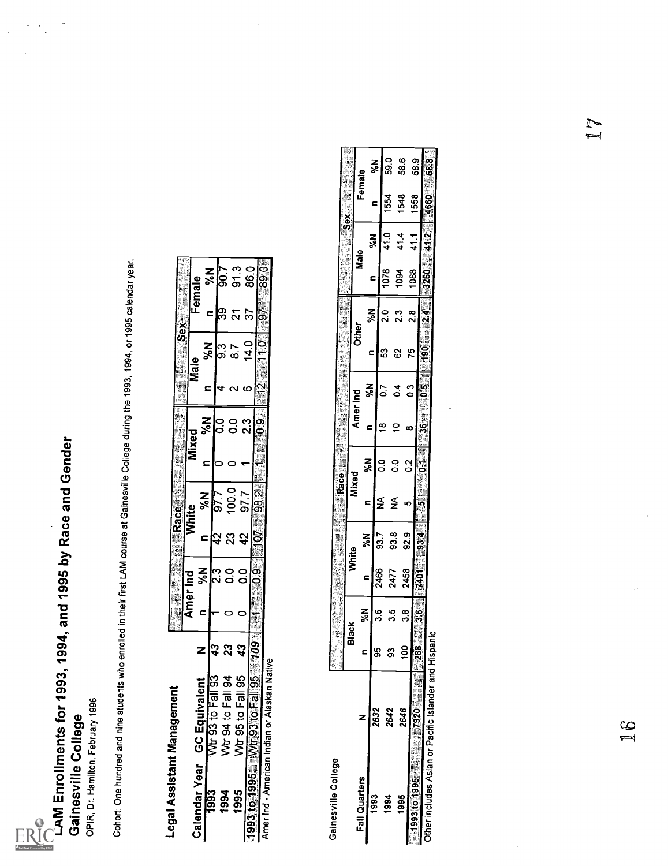

 $\ddot{\phantom{1}}$ 

 $\ddot{\phantom{0}}$ 

|                  |                                              |                            |      |               | l.<br><b>Race Manager Race</b> | <b>ACCEPTANTING</b> | y | <b>RANGESOX</b>    |               |                  |
|------------------|----------------------------------------------|----------------------------|------|---------------|--------------------------------|---------------------|---|--------------------|---------------|------------------|
|                  |                                              |                            | Amer | <u> 김</u>     | <b>Mhite</b>                   | Mixed               |   |                    |               |                  |
| Calendar Year GC | ivalen<br>Eouj                               | Z                          |      |               |                                |                     |   | $\mathbf{c}$<br>SN |               | Female           |
| 993              | J<br>င္ပြ                                    |                            |      | $\frac{2}{3}$ | <mark>X</mark> <<br>c          | <b>N%</b><br>c      |   | ្តុ<br>><<br>c     | ⊆             | $\frac{8}{3}$    |
|                  | ລິ                                           | $\boldsymbol{\hat{3}}$     |      | ر<br>پ        | <u>476</u>                     |                     |   |                    |               | $\frac{100}{20}$ |
| 1994             | ù<br>ू<br>ठ                                  | ິສ                         |      |               | 100.0<br>ని                    |                     |   |                    |               |                  |
| 568              | တိ<br>Fal<br>ខ្ព<br>—<br>ගි<br>₹             | $\boldsymbol{\mathcal{Z}}$ |      | ว<br>ว        |                                | ္ပ                  |   |                    |               | 91.3             |
|                  |                                              |                            |      | င္ပ           | 97.7                           | ვ<br>2              |   | 14.0<br>ဖ          | 22            | 86.0             |
| 1995             | $\frac{5}{5}$<br>93 to Fal                   | - 20.                      | l    |               | <b>982</b><br>ļ                | ్ధ                  |   |                    | $\frac{5}{2}$ |                  |
|                  | Amer Ind - American Indian or Alaskan Native |                            |      |               |                                |                     |   |                    |               | 89.0             |

|                            | Cohort: One hundred and nine students who enrolled in  |                         |                          |                                    |                        | their first LAM course at Gainesville College during the 1993, 1994, or 1995 calendar year. |                          |                               |                   |               |                      |                         |               |           |           |               |
|----------------------------|--------------------------------------------------------|-------------------------|--------------------------|------------------------------------|------------------------|---------------------------------------------------------------------------------------------|--------------------------|-------------------------------|-------------------|---------------|----------------------|-------------------------|---------------|-----------|-----------|---------------|
| Legal Assistant Management |                                                        |                         | 9                        |                                    | Race                   |                                                                                             |                          | ı.                            |                   | Sex           |                      |                         |               |           |           |               |
| Calendar Year              | <b>GC Equivalent</b>                                   | Z                       | Amer Ind<br>$\mathbf{C}$ | <b>N%</b>                          |                        | White                                                                                       | <b>Mixed</b>             |                               | Male              |               | Female               |                         |               |           |           |               |
| <b>1993</b>                | Wtr 93 to Fall 93                                      | $\overline{43}$         | $\overline{\phantom{a}}$ | ြို                                | ł5,<br>c               | <b>N%</b><br>677                                                                            | c<br>$\bullet$           | <b>N%</b><br>$\overline{0.0}$ | c<br>4            | <b>N%</b>     | ဇ္ကြ<br>$\mathbf{r}$ | <b>N%</b>               |               |           |           |               |
| 1994                       | Wtr 94 to Fall 94                                      | 23                      | $\bullet$                | $\overline{0}$                     | 23                     | 100.0                                                                                       | $\circ$                  |                               | $\alpha$ $\omega$ | တ် ထိ         |                      | 91.3<br>$\frac{200}{7}$ |               |           |           |               |
|                            | 1995 Wr 95 to Fall 95<br>1993:t671995 Wr 96 to Fall 95 | $\overline{.601}$<br>43 | $\circ$<br>l÷            | $\overline{6.0}$<br>$\overline{0}$ | $-0$<br>$\overline{4}$ | 98.2<br>97.7                                                                                | $\overline{\phantom{0}}$ | ဝ ၈ ၈<br>ဝ ဂါဝိ               |                   | 14.0          | $rac{25}{25}$        | 86.0                    |               |           |           |               |
|                            | Amer Ind - American Indian or Alaskan Native           |                         |                          |                                    |                        |                                                                                             |                          |                               | $\frac{1}{2}$     | <b>POLT</b>   |                      | 89.0                    |               |           |           |               |
| Gainesville College        |                                                        |                         |                          | Y,                                 |                        | <b>Race</b>                                                                                 |                          |                               |                   |               |                      |                         |               |           |           |               |
| Fall Quarters              |                                                        | Black                   |                          | <b>White</b>                       |                        | Mixed                                                                                       |                          | Amer Ind                      |                   | Other         |                      | Male                    | $\frac{8}{3}$ |           |           |               |
| 1993                       | z                                                      | c                       | N%                       | c                                  | N%                     | c                                                                                           | <b>N%</b>                | c                             | ៵៓                | c             | $\frac{2}{3}$        | c                       | <b>N%</b>     | Female    | <b>NS</b> |               |
| 1994                       | 2632                                                   | န္တ                     | <u>و</u>                 | 2466                               | 93.7                   | ≨                                                                                           | $\mathbf{0}$             | ≌                             | 2.O               | ន             | $\frac{0}{2}$        | 1078                    | 41.0          | 1554<br>c | 59.0      |               |
| 1995                       | 2642                                                   | $\mathfrak{S}$          | $\mathbf{Q}$<br>ო        | 2477                               | 93.8                   | ≨                                                                                           | $\mathbf{S}$             | $\overline{C}$                | $\overline{0}$    | 8             | 2.3                  | 1094                    | 41.4          | 1548      | 58.6      |               |
| 1993 to 1995               | 2646                                                   | 100                     | $\frac{3.8}{3.6}$        | 2458                               | 92.9                   | မာ                                                                                          | $\overline{0}$           | $\infty$                      | $\ddot{\circ}$    | 75            | 2.8                  | 1088                    | 41.1          | 1558      | 58.9      |               |
|                            | ,7920                                                  | 882                     |                          | 1401                               | 93.4                   | ဖွဲ့                                                                                        | 5                        | 36                            | ်                 | $\frac{5}{6}$ | 2.4                  | 3260                    |               |           |           |               |
|                            | Other includes Asian or Pacific Islander and Hispanic  |                         |                          |                                    |                        |                                                                                             |                          |                               |                   |               |                      |                         | 41.2          | 4660      | 58.8      |               |
|                            |                                                        |                         |                          |                                    |                        |                                                                                             |                          | $\bullet$                     |                   |               |                      |                         |               |           |           |               |
|                            |                                                        |                         |                          |                                    |                        |                                                                                             |                          |                               |                   |               |                      |                         |               |           |           |               |
|                            | $\frac{6}{1}$                                          |                         |                          | ż,                                 |                        |                                                                                             |                          |                               |                   |               |                      |                         |               |           |           | L<br>$\equiv$ |
|                            |                                                        |                         |                          |                                    |                        |                                                                                             |                          |                               |                   |               |                      |                         |               |           |           |               |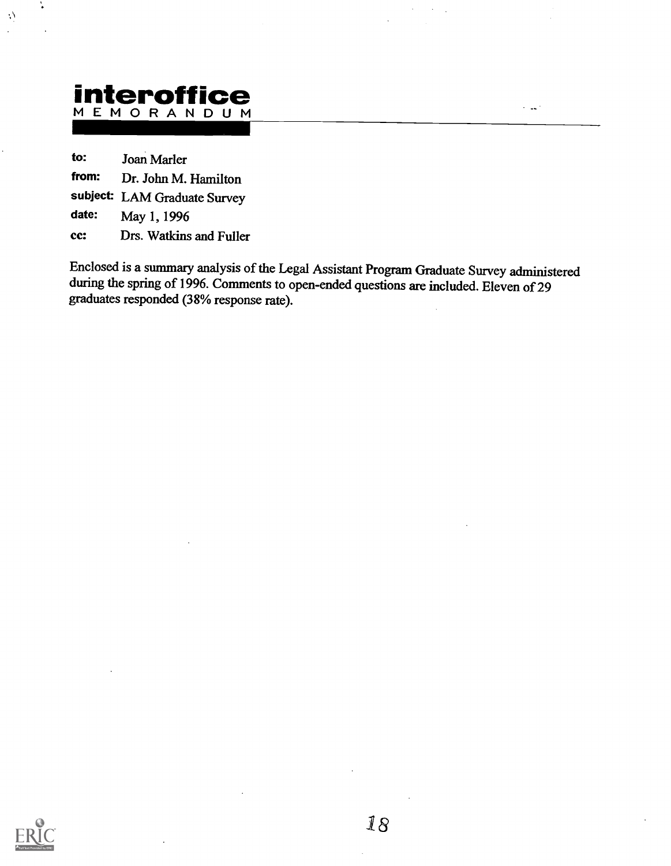# Interoffice

to: Joan Marler

 $\langle \cdot \rangle$ 

from: Dr. John M. Hamilton

subject: LAM Graduate Survey

date: May 1, 1996

cc: Drs. Watkins and Fuller

Enclosed is a summary analysis of the Legal Assistant Program Graduate Survey administered during the spring of 1996. Comments to open-ended questions are included. Eleven of 29 graduates responded (38% response rate).

المداء

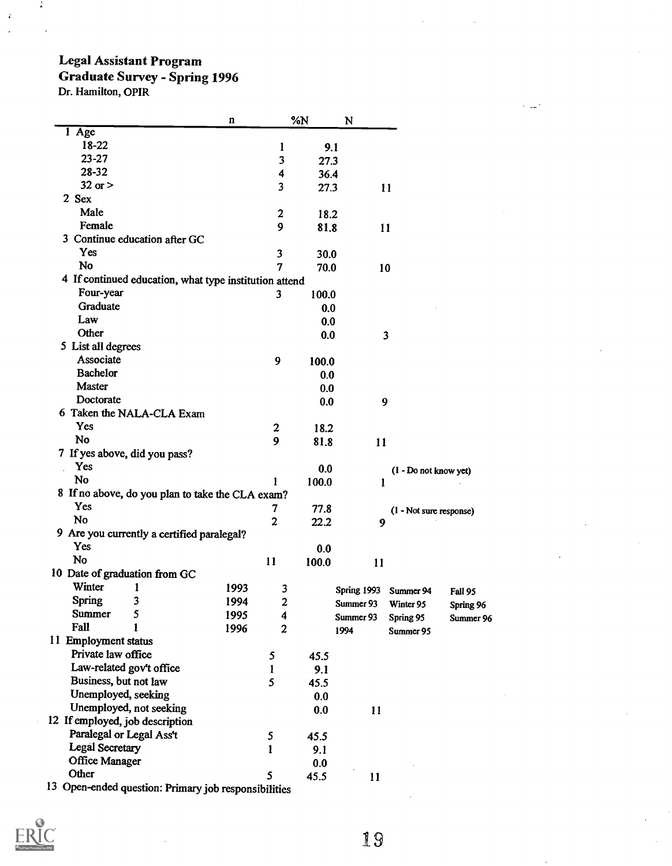### Legal Assistant Program Graduate Survey - Spring 1996

Dr. Hamilton, OPIR

÷

à

|                                                        | n    |                         | %N    | N           |                         |           |
|--------------------------------------------------------|------|-------------------------|-------|-------------|-------------------------|-----------|
| $\overline{1 \text{ Age}}$                             |      |                         |       |             |                         |           |
| 18-22                                                  |      | 1                       | 9.1   |             |                         |           |
| $23 - 27$                                              |      | 3                       | 27.3  |             |                         |           |
| 28-32                                                  |      | $\overline{\mathbf{4}}$ | 36.4  |             |                         |           |
| $32$ or $>$                                            |      | 3                       | 27.3  | 11          |                         |           |
| 2 Sex                                                  |      |                         |       |             |                         |           |
| Male                                                   |      | 2                       | 18.2  |             |                         |           |
| Female                                                 |      | 9                       | 81.8  | 11          |                         |           |
| 3 Continue education after GC                          |      |                         |       |             |                         |           |
| Yes                                                    |      | 3                       | 30.0  |             |                         |           |
| No                                                     |      | 7                       | 70.0  | 10          |                         |           |
| 4 If continued education, what type institution attend |      |                         |       |             |                         |           |
| Four-year                                              |      |                         |       |             |                         |           |
|                                                        |      | 3                       | 100.0 |             |                         |           |
| Graduate                                               |      |                         | 0.0   |             |                         |           |
| Law                                                    |      |                         | 0.0   |             |                         |           |
| Other                                                  |      |                         | 0.0   | 3           |                         |           |
| 5 List all degrees                                     |      |                         |       |             |                         |           |
| Associate                                              |      | 9                       | 100.0 |             |                         |           |
| <b>Bachelor</b>                                        |      |                         | 0.0   |             |                         |           |
| <b>Master</b>                                          |      |                         | 0.0   |             |                         |           |
| Doctorate                                              |      |                         | 0.0   | 9           |                         |           |
| 6 Taken the NALA-CLA Exam                              |      |                         |       |             |                         |           |
| Yes                                                    |      | $\boldsymbol{2}$        | 18.2  |             |                         |           |
| No                                                     |      | 9                       | 81.8  | 11          |                         |           |
| 7 If yes above, did you pass?                          |      |                         |       |             |                         |           |
| Yes                                                    |      |                         | 0.0   |             | (1 - Do not know yet)   |           |
| No                                                     |      |                         | 100.0 | 1           |                         |           |
| 8 If no above, do you plan to take the CLA exam?       |      |                         |       |             |                         |           |
| Yes                                                    |      | 7                       | 77.8  |             | (1 - Not sure response) |           |
| No                                                     |      | $\overline{2}$          | 22.2  | 9           |                         |           |
| 9 Are you currently a certified paralegal?             |      |                         |       |             |                         |           |
| Yes                                                    |      |                         | 0.0   |             |                         |           |
| No                                                     |      | 11                      | 100.0 | 11          |                         |           |
| 10 Date of graduation from GC                          |      |                         |       |             |                         |           |
| Winter<br>1                                            | 1993 |                         |       |             |                         |           |
| <b>Spring</b><br>3                                     | 1994 | 3<br>$\boldsymbol{2}$   |       | Spring 1993 | Summer 94               | Fall 95   |
| Summer<br>5                                            |      |                         |       | Summer 93   | Winter 95               | Spring 96 |
| Fall<br>1                                              | 1995 | 4                       |       | Summer 93   | Spring 95               | Summer 96 |
|                                                        | 1996 | $\boldsymbol{2}$        |       | 1994        | Summer 95               |           |
| 11 Employment status                                   |      |                         |       |             |                         |           |
| Private law office                                     |      | 5                       | 45.5  |             |                         |           |
| Law-related gov't office                               |      | $\mathbf{1}$            | 9.1   |             |                         |           |
| Business, but not law                                  |      | 5                       | 45.5  |             |                         |           |
| Unemployed, seeking                                    |      |                         | 0.0   |             |                         |           |
| Unemployed, not seeking                                |      |                         | 0.0   | 11          |                         |           |
| 12 If employed, job description                        |      |                         |       |             |                         |           |
| Paralegal or Legal Ass't                               |      | 5                       | 45.5  |             |                         |           |
| <b>Legal Secretary</b>                                 |      | 1                       | 9.1   |             |                         |           |
| <b>Office Manager</b>                                  |      |                         | 0.0   |             |                         |           |
| Other                                                  |      | 5                       | 45.5  | 11          |                         |           |
| 13 Open-ended question: Primary job responsibilities   |      |                         |       |             |                         |           |

19

 $\sim$  140  $^{\circ}$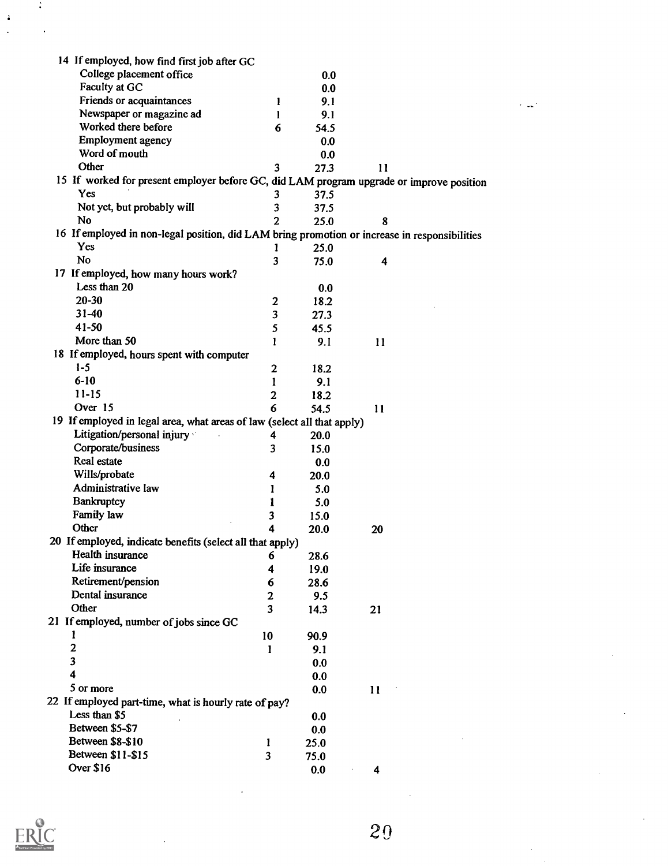| 14 If employed, how find first job after GC                                                   |                  |      |    |  |
|-----------------------------------------------------------------------------------------------|------------------|------|----|--|
| College placement office                                                                      |                  | 0.0  |    |  |
| Faculty at GC                                                                                 |                  | 0.0  |    |  |
| Friends or acquaintances                                                                      | 1                | 9.1  |    |  |
| Newspaper or magazine ad                                                                      | 1                | 9.1  |    |  |
| Worked there before                                                                           | 6                | 54.5 |    |  |
| <b>Employment agency</b>                                                                      |                  | 0.0  |    |  |
| Word of mouth                                                                                 |                  | 0.0  |    |  |
| Other                                                                                         | 3                | 27.3 | 11 |  |
| 15 If worked for present employer before GC, did LAM program upgrade or improve position      |                  |      |    |  |
| Yes                                                                                           | 3                | 37.5 |    |  |
| Not yet, but probably will                                                                    | 3                | 37.5 |    |  |
| No                                                                                            | $\overline{2}$   | 25.0 | 8  |  |
| 16 If employed in non-legal position, did LAM bring promotion or increase in responsibilities |                  |      |    |  |
| Yes                                                                                           | Ł                | 25.0 |    |  |
| <b>No</b>                                                                                     | 3                | 75.0 | 4  |  |
| 17 If employed, how many hours work?                                                          |                  |      |    |  |
| Less than 20                                                                                  |                  |      |    |  |
| $20 - 30$                                                                                     |                  | 0.0  |    |  |
|                                                                                               | $\boldsymbol{2}$ | 18.2 |    |  |
| $31-40$                                                                                       | 3                | 27.3 |    |  |
| 41-50                                                                                         | 5                | 45.5 |    |  |
| More than 50                                                                                  | 1                | 9.1  | 11 |  |
| 18 If employed, hours spent with computer                                                     |                  |      |    |  |
| $1-5$                                                                                         | $\mathbf{2}$     | 18.2 |    |  |
| $6 - 10$                                                                                      | 1                | 9.1  |    |  |
| $11 - 15$                                                                                     | $\mathbf{2}$     | 18.2 |    |  |
| Over 15                                                                                       | 6                | 54.5 | 11 |  |
| 19 If employed in legal area, what areas of law (select all that apply)                       |                  |      |    |  |
| Litigation/personal injury                                                                    | 4                | 20.0 |    |  |
| Corporate/business                                                                            | 3                | 15.0 |    |  |
| Real estate                                                                                   |                  | 0.0  |    |  |
| Wills/probate                                                                                 | 4                | 20.0 |    |  |
| Administrative law                                                                            | 1                | 5.0  |    |  |
| Bankruptcy                                                                                    | 1                | 5.0  |    |  |
| Family law                                                                                    | 3                | 15.0 |    |  |
| Other                                                                                         | 4                | 20.0 | 20 |  |
| 20 If employed, indicate benefits (select all that apply)                                     |                  |      |    |  |
| Health insurance                                                                              | 6                | 28.6 |    |  |
| Life insurance                                                                                | 4                | 19.0 |    |  |
| Retirement/pension                                                                            | 6                | 28.6 |    |  |
| Dental insurance                                                                              | $\mathbf{2}$     | 9.5  |    |  |
| Other                                                                                         | 3                | 14.3 | 21 |  |
| 21 If employed, number of jobs since GC                                                       |                  |      |    |  |
| 1                                                                                             |                  |      |    |  |
| $\mathbf{2}$                                                                                  | 10               | 90.9 |    |  |
| 3                                                                                             | 1                | 9.1  |    |  |
| 4                                                                                             |                  | 0.0  |    |  |
|                                                                                               |                  | 0.0  |    |  |
| 5 or more                                                                                     |                  | 0.0  | 11 |  |
| 22 If employed part-time, what is hourly rate of pay?                                         |                  |      |    |  |
| Less than \$5                                                                                 |                  | 0.0  |    |  |
| Between \$5-\$7                                                                               |                  | 0.0  |    |  |
| Between \$8-\$10                                                                              | 1                | 25.0 |    |  |
| Between \$11-\$15                                                                             | 3                | 75.0 |    |  |
| Over \$16                                                                                     |                  | 0.0  | 4  |  |



 $\frac{3}{2}$ 

 $\ddot{\cdot}$  $\overline{a}$ 

20

 $\ddot{\phantom{a}}$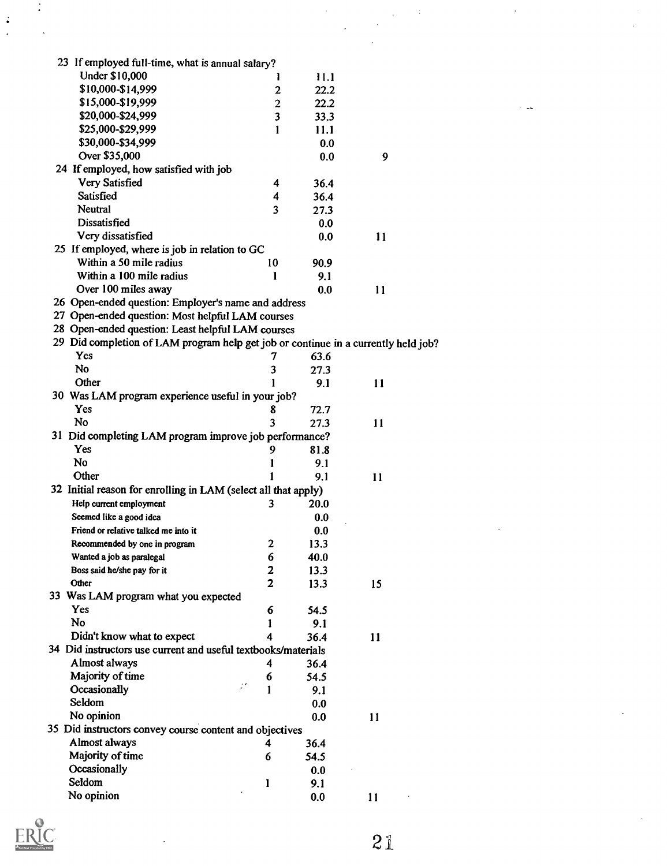| 23 If employed full-time, what is annual salary?                                   |                         |      |    |  |
|------------------------------------------------------------------------------------|-------------------------|------|----|--|
| Under \$10,000                                                                     | 1                       | 11.1 |    |  |
| \$10,000-\$14,999                                                                  | $\mathbf{2}$            | 22.2 |    |  |
| \$15,000-\$19,999                                                                  | $\overline{c}$          | 22.2 |    |  |
| \$20,000-\$24,999                                                                  | 3                       | 33.3 |    |  |
| \$25,000-\$29,999                                                                  | 1                       | 11.1 |    |  |
| \$30,000-\$34,999                                                                  |                         | 0.0  |    |  |
| Over \$35,000                                                                      |                         | 0.0  | 9  |  |
| 24 If employed, how satisfied with job                                             |                         |      |    |  |
| Very Satisfied                                                                     | 4                       | 36.4 |    |  |
| Satisfied                                                                          | 4                       | 36.4 |    |  |
| Neutral                                                                            | $\overline{\mathbf{3}}$ | 27.3 |    |  |
| Dissatisfied                                                                       |                         | 0.0  |    |  |
| Very dissatisfied                                                                  |                         | 0.0  | 11 |  |
| 25 If employed, where is job in relation to GC                                     |                         |      |    |  |
| Within a 50 mile radius                                                            | 10                      | 90.9 |    |  |
| Within a 100 mile radius                                                           | 1                       | 9.1  |    |  |
| Over 100 miles away                                                                |                         | 0.0  | 11 |  |
| 26 Open-ended question: Employer's name and address                                |                         |      |    |  |
| 27 Open-ended question: Most helpful LAM courses                                   |                         |      |    |  |
| 28 Open-ended question: Least helpful LAM courses                                  |                         |      |    |  |
| 29 Did completion of LAM program help get job or continue in a currently held job? |                         |      |    |  |
| Yes                                                                                | 7                       | 63.6 |    |  |
| No                                                                                 | 3                       | 27.3 |    |  |
| Other                                                                              | 1                       | 9.1  | 11 |  |
| 30 Was LAM program experience useful in your job?                                  |                         |      |    |  |
| Yes                                                                                | 8                       | 72.7 |    |  |
| No                                                                                 | $\overline{\mathbf{3}}$ | 27.3 | 11 |  |
| 31 Did completing LAM program improve job performance?                             |                         |      |    |  |
| Yes                                                                                | 9                       | 81.8 |    |  |
| No                                                                                 | 1                       | 9.1  |    |  |
| Other                                                                              | 1                       | 9.1  | 11 |  |
| 32 Initial reason for enrolling in LAM (select all that apply)                     |                         |      |    |  |
| Help current employment                                                            | 3                       | 20.0 |    |  |
| Seemed like a good idea                                                            |                         | 0.0  |    |  |
| Friend or relative talked me into it                                               |                         | 0.0  |    |  |
| Recommended by one in program                                                      | $\mathbf{2}$            | 13.3 |    |  |
| Wanted a job as paralegal                                                          | 6                       | 40.0 |    |  |
| Boss said he/she pay for it                                                        | 2                       | 13.3 |    |  |
| Other                                                                              | $\overline{2}$          | 13.3 | 15 |  |
| 33 Was LAM program what you expected                                               |                         |      |    |  |
| Yes                                                                                | 6                       | 54.5 |    |  |
| No                                                                                 | 1                       | 9.1  |    |  |
| Didn't know what to expect                                                         | 4                       | 36.4 | 11 |  |
| 34 Did instructors use current and useful textbooks/materials                      |                         |      |    |  |
| Almost always                                                                      | 4                       | 36.4 |    |  |
| Majority of time                                                                   | 6                       | 54.5 |    |  |
| Occasionally                                                                       | 1                       | 9.1  |    |  |
| Seldom                                                                             |                         | 0.0  |    |  |
| No opinion                                                                         |                         | 0.0  | 11 |  |
| 35 Did instructors convey course content and objectives                            |                         |      |    |  |
| Almost always                                                                      | 4                       | 36.4 |    |  |
| Majority of time                                                                   | 6                       | 54.5 |    |  |
| Occasionally                                                                       |                         | 0.0  |    |  |
| Seldom                                                                             | 1                       | 9.1  |    |  |
| No opinion                                                                         |                         | 0.0  | 11 |  |
|                                                                                    |                         |      |    |  |



 $\mathcal{L}$ 

 $\frac{1}{2}$ 

21

 $\label{eq:2} \frac{1}{\sqrt{2}}\sum_{i=1}^n\frac{1}{\sqrt{2}}\sum_{i=1}^n\frac{1}{\sqrt{2}}\sum_{i=1}^n\frac{1}{\sqrt{2}}\sum_{i=1}^n\frac{1}{\sqrt{2}}\sum_{i=1}^n\frac{1}{\sqrt{2}}\sum_{i=1}^n\frac{1}{\sqrt{2}}\sum_{i=1}^n\frac{1}{\sqrt{2}}\sum_{i=1}^n\frac{1}{\sqrt{2}}\sum_{i=1}^n\frac{1}{\sqrt{2}}\sum_{i=1}^n\frac{1}{\sqrt{2}}\sum_{i=1}^n\frac{1$ 

 $\ddot{\phantom{0}}$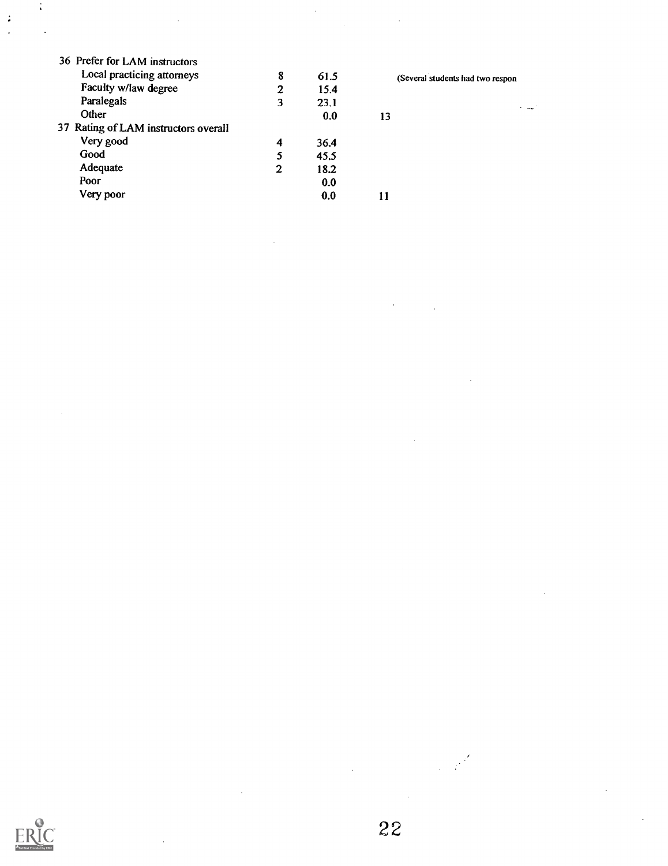| 36 Prefer for LAM instructors        |   |      |          |  |
|--------------------------------------|---|------|----------|--|
| Local practicing attorneys           | 8 | 61.5 | (Several |  |
| Faculty w/law degree                 | 2 | 15.4 |          |  |
| Paralegals                           | 3 | 23.1 |          |  |
| Other                                |   | 0.0  | 13       |  |
| 37 Rating of LAM instructors overall |   |      |          |  |
| Very good                            | 4 | 36.4 |          |  |
| Good                                 | 5 | 45.5 |          |  |
| Adequate                             | 2 | 18.2 |          |  |
| Poor                                 |   | 0.0  |          |  |
| Very poor                            |   | 0.0  |          |  |
|                                      |   |      |          |  |

(Several students had two respon

 $\sim 10^{-1}$ 



 $\frac{1}{\pi}$ 

 $\ddot{\bullet}$ 

 $\bar{z}$ 

 $\frac{1}{2} \frac{d^2}{dt^2}$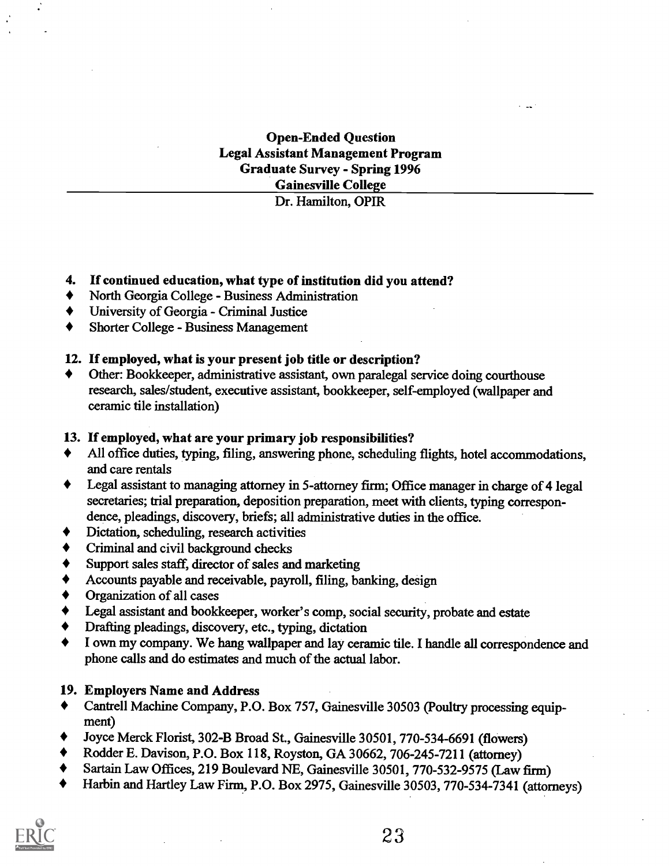## Open-Ended Question Legal Assistant Management Program Graduate Survey - Spring 1996 Gainesville College

Dr. Hamilton, OPIR

#### 4. If continued education, what type of institution did you attend?

- North Georgia College Business Administration  $\blacklozenge$
- University of Georgia Criminal Justice
- Shorter College Business Management

#### 12. If employed, what is your present job title or description?

Other: Bookkeeper, administrative assistant, own paralegal service doing courthouse research, sales/student, executive assistant, bookkeeper, self-employed (wallpaper and ceramic tile installation)

#### 13. If employed, what are your primary job responsibilities?

- All office duties, typing, filing, answering phone, scheduling flights, hotel accommodations, and care rentals
- Legal assistant to managing attorney in 5-attorney firm; Office manager in charge of 4 legal secretaries; trial preparation, deposition preparation, meet with clients, typing correspondence, pleadings, discovery, briefs; all administrative duties in the office.
- Dictation, scheduling, research activities
- Criminal and civil background checks
- Support sales staff, director of sales and marketing
- Accounts payable and receivable, payroll, filing, banking, design
- Organization of all cases  $\blacklozenge$
- $\blacklozenge$ Legal assistant and bookkeeper, worker's comp, social security, probate and estate
- $\blacklozenge$ Drafting pleadings, discovery, etc., typing, dictation
- $\blacklozenge$ I own my company. We hang wallpaper and lay ceramic tile. I handle all correspondence and phone calls and do estimates and much of the actual labor.

#### 19. Employers Name and Address

- Cantrell Machine Company, P.O. Box 757, Gainesville 30503 (Poultry processing equipment)
- Joyce Merck Florist, 302-B Broad St., Gainesville 30501, 770-534-6691 (flowers)
- Rodder E. Davison, P.O. Box 118, Royston, GA 30662, 706-245-7211 (attorney)
- Sartain Law Offices, 219 Boulevard NE, Gainesville 30501, 770-532-9575 (Law firm)
- Harbin and Hartley Law Firm, P.O. Box 2975, Gainesville 30503, 770-534-7341 (attorneys)

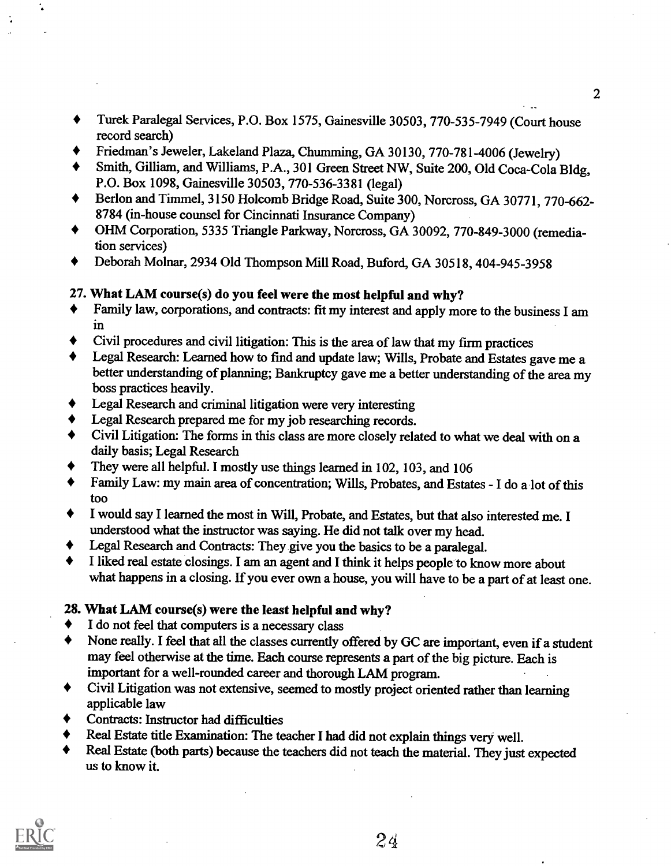- Turek Paralegal Services, P.O. Box 1575, Gainesville 30503, 770-535-7949 (Court house record search)
- Friedman's Jeweler, Lakeland Plaza, Chumming, GA 30130, 770-781-4006 (Jewelry)
- Smith, Gilliam, and Williams, P.A., 301 Green Street NW, Suite 200, Old Coca-Cola Bldg, P.O. Box 1098, Gainesville 30503, 770-536-3381 (legal)
- Berlon and Timmel, 3150 Holcomb Bridge Road, Suite 300, Norcross, GA 30771, 770 -662- 8784 (in-house counsel for Cincinnati Insurance Company)
- $\blacklozenge$ OHM Corporation, 5335 Triangle Parkway, Norcross, GA 30092, 770-849-3000 (remediation services)
- Deborah Molnar, 2934 Old Thompson Mill Road, Buford, GA 30518, 404-945-3958 ♦

## 27. What LAM course(s) do you feel were the most helpful and why?

- Family law, corporations, and contracts: fit my interest and apply more to the business I am in
- Civil procedures and civil litigation: This is the area of law that my firm practices
- Legal Research: Learned how to find and update law; Wills, Probate and Estates gave me a better understanding of planning; Bankruptcy gave me a better understanding of the area my boss practices heavily.
- Legal Research and criminal litigation were very interesting
- Legal Research prepared me for my job researching records.
- Civil Litigation: The forms in this class are more closely related to what we deal with on a daily basis; Legal Research
- They were all helpful. I mostly use things learned in 102, 103, and 106
- Family Law: my main area of concentration; Wills, Probates, and Estates- I do a lot of this too
- $\bullet$ I would say I learned the most in Will, Probate, and Estates, but that also interested me. I understood what the instructor was saying. He did not talk overmy head.
- Legal Research and Contracts: They give you the basics to be a paralegal.
- I liked real estate closings. I am an agent and I think it helps people to knowmore about  $\blacklozenge$ what happens in a closing. If you ever own a house, you will have to be a part of at least one.

## 28. What LAM course(s) were the least helpful and why?

- I do not feel that computers is a necessary class  $\blacklozenge$
- None really. I feel that all the classes currently offered by GC are important, even if a student  $\bullet$ may feel otherwise at the time. Each course represents a part of the big picture. Each is important for a well-rounded career and thorough LAM program.
- Civil Litigation was not extensive, seemed to mostly project oriented rather than learning  $\bullet$ applicable law
- Contracts: Instructor had difficulties
- Real Estate title Examination: The teacher I had did not explain things very well.  $\bullet$
- Real Estate (both parts) because the teachers did not teach the material. They just expected us to know it.



 $2d$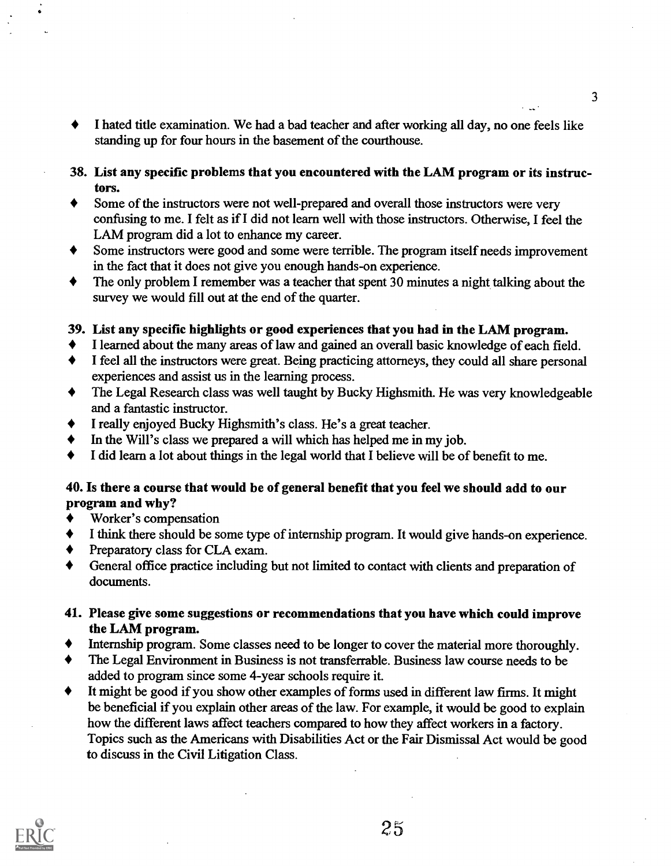- I hated title examination. We had a bad teacher and after working all day, no one feels like  $\blacklozenge$ standing up for four hours in the basement of the courthouse.
- 38. List any specific problems that you encountered with the LAM program or its instructors.
- Some of the instructors were not well-prepared and overall those instructors were very  $\blacklozenge$ confusing to me. I felt as if I did not learn well with those instructors. Otherwise, I feel the LAM program did a lot to enhance my career.
- Some instructors were good and some were terrible. The program itself needs improvement in the fact that it does not give you enough hands-on experience.
- The only problem I remember was a teacher that spent 30 minutes a night talking about the survey we would fill out at the end of the quarter.

#### 39. List any specific highlights or good experiences that you had in the LAM program.

- I learned about the many areas of law and gained an overall basic knowledge of each field.
- I feel all the instructors were great. Being practicing attorneys, they could all share personal  $\blacklozenge$ experiences and assist us in the learning process.
- The Legal Research class was well taught by Bucky Highsmith. He was very knowledgeable  $\blacklozenge$ and a fantastic instructor.
- I really enjoyed Bucky Highsmith's class. He's a great teacher.
- In the Will's class we prepared a will which has helped me in my job.
- I did learn a lot about things in the legal world that I believe will be of benefit to me.

#### 40. Is there a course that would be of general benefit that you feel we should add to our program and why?

- Worker's compensation
- I think there should be some type of internship program. It would give hands-on experience.
- Preparatory class for CLA exam.  $\blacklozenge$
- General office practice including but not limited to contact with clients and preparation of documents.
- 41. Please give some suggestions or recommendations that you have which could improve the LAM program.
- Internship program. Some classes need to be longer to cover the material more thoroughly.
- The Legal Environment in Business is not transferrable. Business law course needs to be ♦ added to program since some 4-year schools require it.
- It might be good if you show other examples of forms used in different law firms. It might  $\blacklozenge$ be beneficial if you explain other areas of the law. For example, it would be good to explain how the different laws affect teachers compared to how they affect workers in a factory. Topics such as the Americans with Disabilities Act or the Fair Dismissal Act would be good to discuss in the Civil Litigation Class.

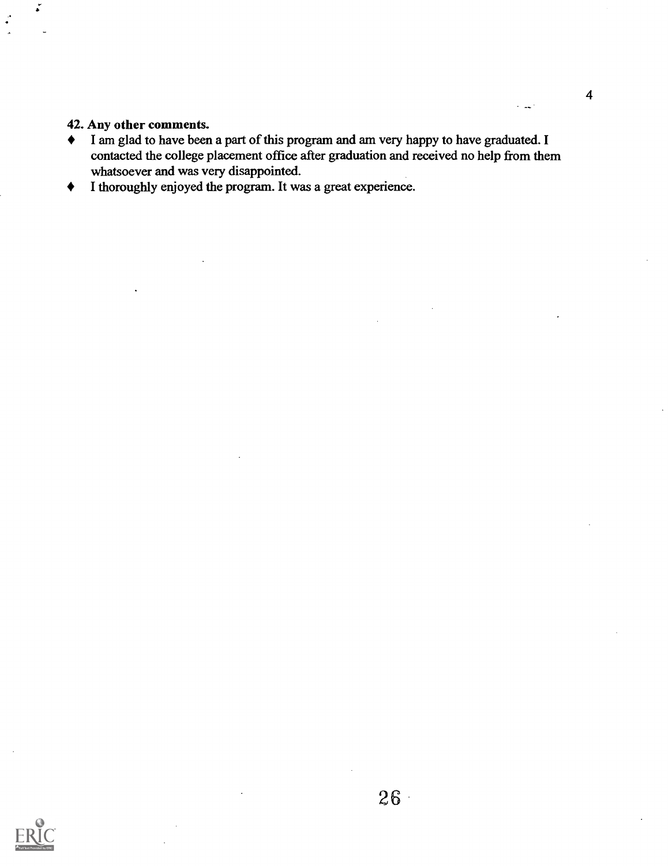#### 42. Any other comments.

- I am glad to have been a part of this program and am very happy to have graduated. I contacted the college placement office after graduation and received no help from them whatsoever and was very disappointed.
- I thoroughly enjoyed the program. It was a great experience. $\blacklozenge$



المداء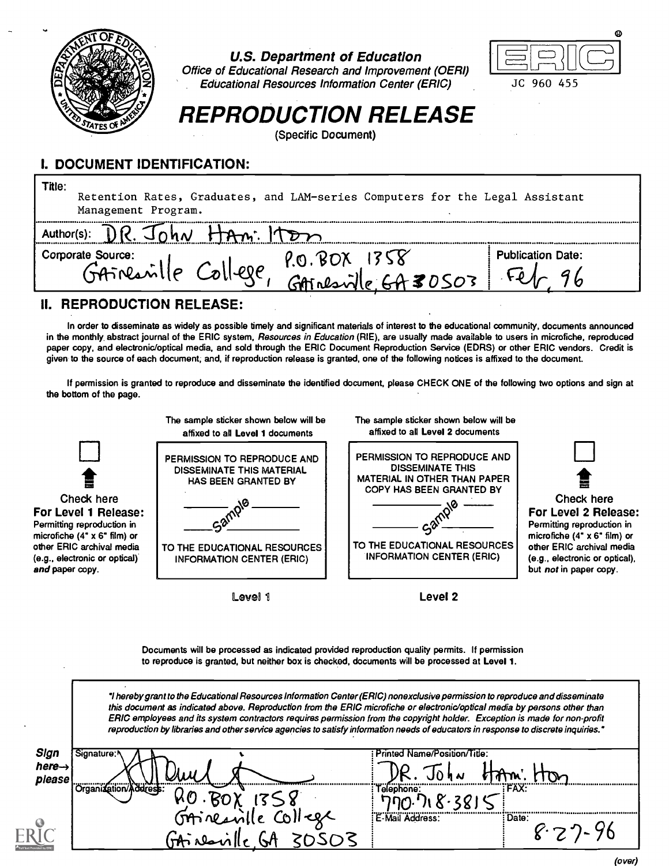

U.S. Department of Education

Office of Educational Research and Improvement (OERI) Educational Resources Information Center (ERIC)



# REPRODUCTION RELEASE

(Specific Document)

## I. DOCUMENT IDENTIFICATION:

| Title:<br>Retention Rates, Graduates, and LAM-series Computers for the Legal Assistant<br>Management Program. |                          |
|---------------------------------------------------------------------------------------------------------------|--------------------------|
|                                                                                                               |                          |
| Corporate Source:<br>P.O. BOX<br>GAINEANTHE College.<br>$m = 64.30503$                                        | <b>Publication Date:</b> |

## II. REPRODUCTION RELEASE:

In order to disseminate as widely as possible timely and significant materials of interest to the educational community, documents announced in the monthly abstract journal of the ERIC system, Resources in Education (RIE), are usually made available to users in microfiche, reproduced paper copy, and electronic/optical media, and sold through the ERIC Document Reproduction Service (EDRS) or other ERIC vendors. Credit is given to the source of each document, and, if reproduction release is granted, one of the following notices is affixed to the document.

If permission is granted to reproduce and disseminate the identified document, please CHECK ONE of the following two options and sign at the bottom of the page.



Documents will be processed as indicated provided reproduction quality permits. If permission to reproduce is granted, but neither box is checked, documents will be processed at Level 1.

hereby grant to the Educational Resources Information Center (ERIC) nonexclusive permission to reproduce and disseminate this document as indicated above. Reproduction from the ERIC microfiche or electronic/optical media by persons other than ERIC employees and its system contractors requires permission from the copyright holder. Exception is made for non-profit reproduction by libraries and other service agencies to satisfy information needs of educators in response to discrete inquiries."

| Sign               | .Signature:≀               | Printed Name/Position/Title:     |
|--------------------|----------------------------|----------------------------------|
| $here \rightarrow$ |                            |                                  |
| please             |                            | $\mathcal{L}$                    |
|                    | .<br>Crganization/Address: | <b>SUFFAXE</b><br><br>Telephone: |
|                    |                            |                                  |
|                    | <b>SAineavi</b>            | E-Mail Address:<br>              |
| D                  |                            |                                  |
|                    |                            |                                  |